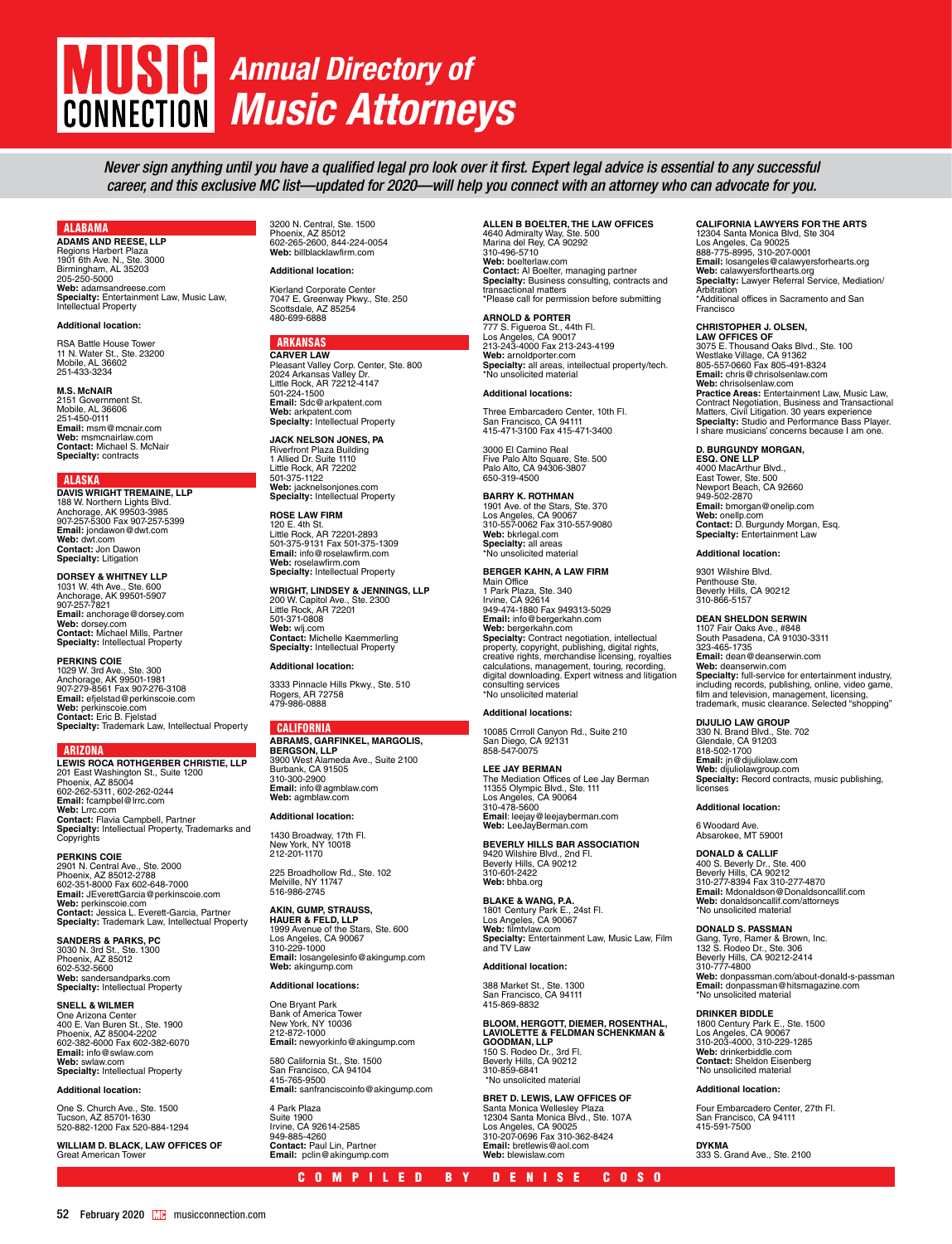# *Annual Directory of* **CONNECTION** *Music Attorneys*

*Never sign anything until you have a qualified legal pro look over it first. Expert legal advice is essential to any successful career, and this exclusive MC list—updated for 2020—will help you connect with an attorney who can advocate for you.* 

### ALABAMA

**ADAMS AND REESE, LLP** Regions Harbert Plaza 1901 6th Ave. N., Ste. 3000 Birmingham, AL 35203 205-250-5000 **Web:** adamsandreese.com **Specialty:** Entertainment Law, Music Law,<br>Intellectual Property

### **Additional location:**

RSA Battle House Tower 11 N. Water St., Ste. 23200 Mobile, AL 36602 251-433-3234

### **M.S. McNAIR**

2151 Government St. Mobile, AL 36606 251-450-0111 **Email:** msm@mcnair.com **Web:** msmcnairlaw.com **Contact:** Michael S. McNair **Specialty:** contracts

### ALASKA

**DAVIS WRIGHT TREMAINE, LLP** 188 W. Northern Lights Blvd. Anchorage, AK 99503-3985 907-257-5300 Fax 907-257-5399 **Email:** jondawon@dwt.com **Web:** dwt.com **Contact:** Jon Dawon **Specialty:** Litigation

**DORSEY & WHITNEY LLP** 1031 W. 4th Ave., Ste. 600 Anchorage, AK 99501-5907 907-257-7821 **Email:** anchorage@dorsey.com **Web:** dorsey.com **Contact:** Michael Mills, Partner **Specialty:** Intellectual Property

**PERKINS COIE** 1029 W. 3rd Ave., Ste. 300 Anchorage, AK 99501-1981 907-279-8561 Fax 907-276-3108 **Email:** efjelstad@perkinscoie.com **Web:** perkinscoie.com **Contact:** Eric B. Fjelstad **Specialty:** Trademark Law, Intellectual Property

### ARIZONA

**LEWIS ROCA ROTHGERBER CHRISTIE, LLP** 201 East Washington St., Suite 1200 Phoenix, AZ 85004 602-262-5311, 602-262-0244 **Email:** fcampbel@lrrc.com **Web:** Lrrc.com **Contact:** Flavia Campbell, Partner<br>**Specialty:** Intellectual Property, Trademarks and<br>Copyrights

**PERKINS COIE** 2901 N. Central Ave., Ste. 2000 Phoenix, AZ 85012-2788 602-351-8000 Fax 602-648-7000 **Email:** JEverettGarcia@perkinscoie.com **Web:** perkinscoie.com **Contact:** Jessica L. Everett-Garcia, Partner **Specialty:** Trademark Law, Intellectual Property

**SANDERS & PARKS, PC** 3030 N. 3rd St., Ste. 1300 Phoenix, AZ 85012 602-532-5600 **Web:** sandersandparks.com **Specialty:** Intellectual Property

### **SNELL & WILMER**

One Arizona Center 400 E. Van Buren St., Ste. 1900 Phoenix, AZ 85004-2202 602-382-6000 Fax 602-382-6070 **Email:** info@swlaw.com **Web:** swlaw.com **Specialty:** Intellectual Property

### **Additional location:**

One S. Church Ave., Ste. 1500 Tucson, AZ 85701-1630 520-882-1200 Fax 520-884-1294

**WILLIAM D. BLACK, LAW OFFICES OF**  Great American Towe

3200 N. Central, Ste. 1500 Phoenix, AZ 85012 602-265-2600, 844-224-0054 **Web:** billblacklawfirm.com

### **Additional location:**

Kierland Corporate Center 7047 E. Greenway Pkwy., Ste. 250 Scottsdale, AZ 85254 480-699-6888

## **ARKANSAS**<br>CARVER LAW

**CARVER LAW**<br>Pleasant Valley Corp. Center, Ste. 800<br>2024 Arkansas Valley Dr.<br>Little Rock, AR 72212-4147<br>501-224-1500 **Email:** Sdc@arkpatent.com **Web:** arkpatent.com **Specialty:** Intellectual Property

**JACK NELSON JONES, PA** Riverfront Plaza Building 1 Allied Dr. Suite 1110 Little Rock, AR 72202 501-375-1122 **Web:** jacknelsonjones.com **Specialty:** Intellectual Property

### **ROSE LAW FIRM** 120 E. 4th St. Little Rock, AR 72201-2893 501-375-9131 Fax 501-375-1309 **Email:** info@roselawfirm.com **Web:** roselawfirm.com **Specialty:** Intellectual Property

**WRIGHT, LINDSEY & JENNINGS, LLP**

200 W. Capitol Ave., Ste. 2300 Little Rock, AR 72201 501-371-0808 **Web:** wlj.com **Contact:** Michelle Kaemmerling **Specialty:** Intellectual Property

### **Additional location:**

3333 Pinnacle Hills Pkwy., Ste. 510 Rogers, AR 72758 479-986-0888

### CALIFORNIA

**ABRAMS, GARFINKEL, MARGOLIS, BERGSON, LLP** 3900 West Alameda Ave., Suite 2100 Burbank, CA 91505 310-300-2900 **Email:** info@agmblaw.com **Web:** agmblaw.com

### **Additional location:**

1430 Broadway, 17th Fl. New York, NY 10018 212-201-1170

225 Broadhollow Rd., Ste. 102 Melville, NY 11747 516-986-2745

**AKIN, GUMP, STRAUSS,<br><b>HAUER & FELD, LLP**<br>1999 Avenue of the Stars, Ste. 600<br>Los Angeles, CA 90067<br>310-229-1000 **Email:** losangelesinfo@akingump.com **Web:** akingump.com

### **Additional locations:**

One Bryant Park Bank of America Tower<br>New York, NY 10036<br>212-872-1000<br>**Email:** newyorkinfo@akingump.com

580 California St., Ste. 1500 San Francisco, CA 94104 415-765-9500 **Email:** sanfranciscoinfo@akingump.com

4 Park Plaza Suite 1900 Irvine, CA 92614-2585 949-885-4260 **Contact:** Paul Lin, Partner **Email:** pclin@akingump.com

### **ALLEN B BOELTER, THE LAW OFFICES**

4640 Admiralty Way, Ste. 500 Marina del Rey, CA 90292 310-496-5710 **Web:** boelterlaw.com **Contact:** Al Boelter, managing partner<br>**Specialty:** Business consulting, contracts and<br>transactional matters<br>\*Please call for permission before submitting

### **ARNOLD & PORTER**

777 S. Figueroa St., 44th Fl. Los Angeles, CA 90017 213-243-4000 Fax 213-243-4199 **Web:** arnoldporter.com **Specialty:** all areas, intellectual property/tech. \*No unsolicited material

### **Additional locations:**

Three Embarcadero Center, 10th Fl. San Francisco, CA 94111 415-471-3100 Fax 415-471-3400

3000 El Camino Real

Five Palo Alto Square, Ste. 500 Palo Alto, CA 94306-3807 650-319-4500 **BARRY K. ROTHMAN** 

1901 Ave. of the Stars, Ste. 370 Los Angeles, CA 90067 310-557-0062 Fax 310-557-9080 **Web:** bkrlegal.com **Specialty:** all areas \*No unsolicited material

### **BERGER KAHN, A LAW FIRM**

Main Office 1 Park Plaza, Ste. 340 Irvine, CA 92614 949-474-1880 Fax 949313-5029 **Email:** info@bergerkahn.com **Web:** bergerkahn.com<br>**Specialty:** Contract negotiation, intellectual<br>property, copyright, publishing, digital rights,<br>creative rights, merchandise licensing, royalties calculations, management, touring, recording, digital downloading. Expert witness and litigation consulting services \*No unsolicited material

**LEE JAY BERMAN<br>The Mediation Offices of Lee Jay Berman<br>11355 Olympic Blvd., Ste. 111<br>Los Angeles, CA 90064<br>310-478-5600 Email**: leejay@leejayberman.com **Web:** LeeJayBerman.com

### **BEVERLY HILLS BAR ASSOCIATION**

9420 Wilshire Blvd., 2nd Fl. Beverly Hills, CA 90212 310-601-2422 **Web:** bhba.org **BLAKE & WANG, P.A.** 1801 Century Park E., 24st Fl. Los Angeles, CA 90067 **Web:** filmtvlaw.com **Specialty:** Entertainment Law, Music Law, Film and TV Law

### **Additional location:**

388 Market St., Ste. 1300 San Francisco, CA 94111 415-869-8832

**BLOOM, HERGOTT, DIEMER, ROSENTHAL, LAVIOLETTE & FELDMAN SCHENKMAN & GOODMAN, LLP**  150 S. Rodeo Dr., 3rd Fl. Beverly Hills, CA 90212 310-859-6841 \*No unsolicited material

**BRET D. LEWIS, LAW OFFICES OF** Santa Monica Wellesley Plaza 12304 Santa Monica Blvd., Ste. 107A Los Angeles, CA 90025 310-207-0696 Fax 310-362-8424 **Email:** bretlewis@aol.com **Web:** blewislaw.com

### **CALIFORNIA LAWYERS FOR THE ARTS**

12304 Santa Monica Blvd, Ste 304 Los Angeles, Ca 90025 888-775-8995, 310-207-0001 **Email:** losangeles@calawyersforhearts.org<br>**Web:** calawyersforthearts.org<br>**Specialty:** Lawyer Referral Service, Mediation/<br>Arbitration \*Additional offices in Sacramento and San Francisco

**CHRISTOPHER J. OLSEN,<br><b>LAW OFFICES OF**<br>3075 E. Thousand Oaks Blvd., Ste. 100<br>Westlake Village, CA 91362<br>805-557-0660 Fax 805-491-8324 **Email:** chris@chrisolsenlaw.com Web: chrisolsenlaw.com<br>Practice Areas: Entertainment Law, Music Law,<br>Contract Negotiation, Business and Transactional<br>Matters, Civil Litigation. 30 years experience<br>Specialty: Studio and Performance Bass Player.<br>I share mu

### **D. BURGUNDY MORGAN,**

**ESQ. ONE LLP** 4000 MacArthur Blvd., East Tower, Ste. 500 Newport Beach, CA 92660 949-502-2870 **Email:** bmorgan@onelip.com **Web:** onellp.com **Contact:** D. Burgundy Morgan, Esq. **Specialty:** Entertainment Law

### **Additional location:**

9301 Wilshire Blvd. Penthouse Ste. Beverly Hills, CA 90212 310-866-5157

### **DEAN SHELDON SERWIN**

1107 Fair Oaks Ave., #848 South Pasadena, CA 91030-3311 323-465-1735 **Email:** dean@deanserwin.com **Web:** deanserwin.com **Specialty:** full-service for entertainment industry, including records, publishing, online, video game, film and television, management, licensing, trademark, music clearance. Selected "shopping"

**DIJULIO LAW GROUP** 330 N. Brand Blvd., Ste. 702 Glendale, CA 91203 Gibriuale, O., 0.<br>818-502-1700 **Email:** jn@dijuliolaw.com **Web:** dijuliolawgroup.com **Specialty:** Record contracts, music publishing, licenses

### **Additional location:**

6 Woodard Ave. Absarokee, MT 59001

**DONALD & CALLIF** 400 S. Beverly Dr., Ste. 400<br>Beverly Hills, CA 90212<br>310-277-8394 Fax 310-277-4870<br>**Email:** Mdonaldson@Donaldsoncallif.com **Web:** donaldsoncallif.com/attorneys \*No unsolicited material

### **DONALD S. PASSMAN**

Gang, Tyre, Ramer & Brown, Inc. 132 S. Rodeo Dr., Ste. 306 Beverly Hills, CA 90212-2414 310-777-4800 **Web:** [donpassman.com/about-donald-s-passman](https://www.donpassman.com/about-donald-s-passman/) **Email:** donpassman@hitsmagazine.com \*No unsolicited material

### **DRINKER BIDDLE**

1800 Century Park E., Ste. 1500 Los Angeles, CA 90067 310-203-4000, 310-229-1285 **Web:** drinkerbiddle.com **Contact:** Sheldon Eisenberg \*No unsolicited material

### **Additional location:**

Four Embarcadero Center, 27th Fl. San Francisco, CA 94111 415-591-7500

**DYKMA** 333 S. Grand Ave., Ste. 2100

### **Additional locations:**

10085 Crrroll Canyon Rd., Suite 210 San Diego, CA 92131 858-547-0075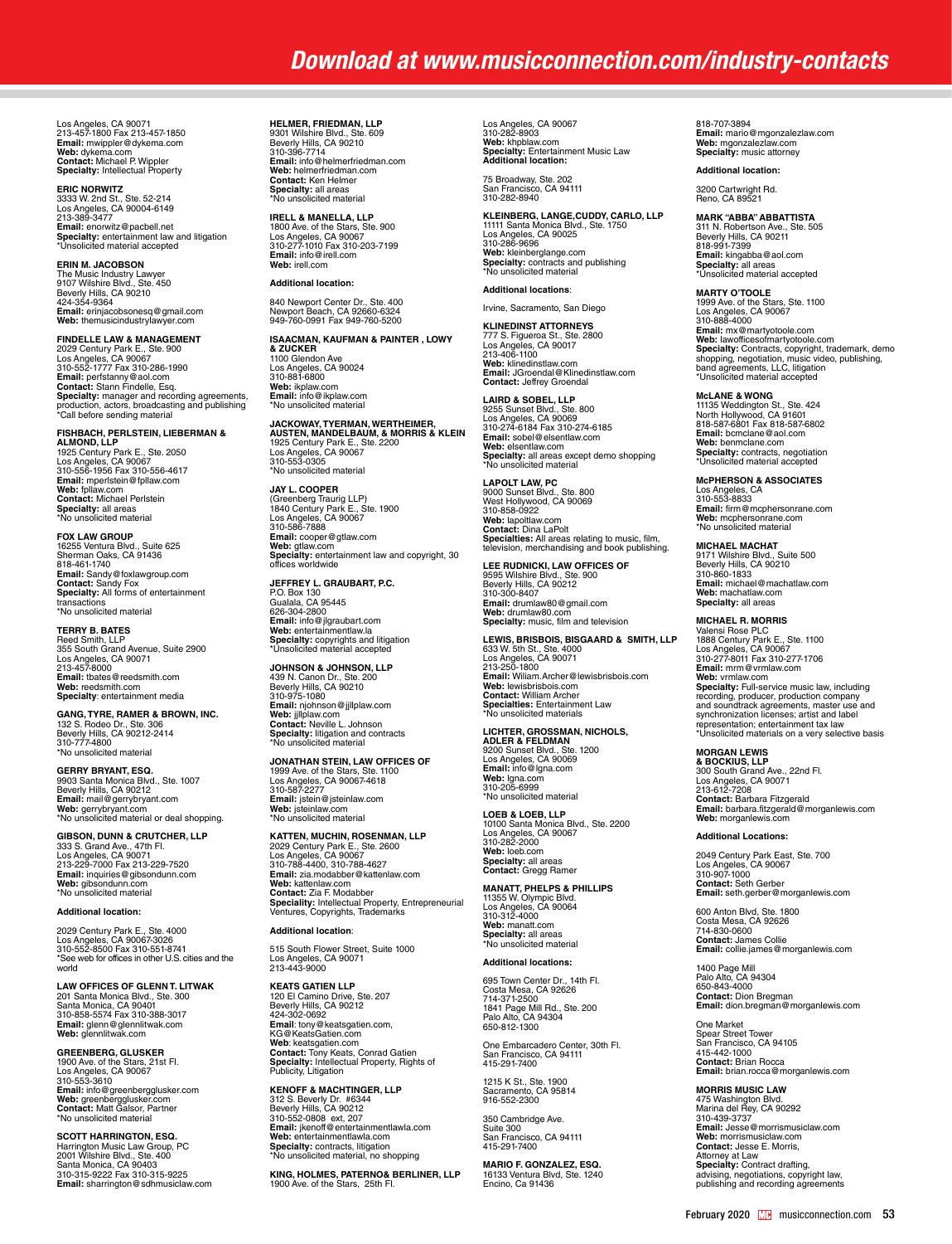Los Angeles, CA 90071<br>213-457-1800 Fax 213-457-1850<br>**Emai**l: mwippler@dykema.com<br>**Web:** dykema.com<br>**Contact:** Michael P. Wippler<br>**Specialty:** Intellectual Property

**ERIC NORWITZ**<br>3333 W. 2nd St., Ste. 52-214<br>213-389-3477<br>**Email:** enorwitz@pacbell.net<br>**Specialty**: entertainment law and litigation<br>3**pecialty**: entertainment law and litigation<br>\*Unsolicited material accepted

### **ERIN M. JACOBSON**

The Music Industry Lawyer 9107 Wilshire Blvd., Ste. 450 Beverly Hills, CA 90210 424-354-9364 **Email:** erinjacobsonesq@gmail.com **Web:** themusicindustrylawyer.com

**FINDELLE LAW & MANAGEMENT<br>2029 Century Park E., Ste. 900<br>Los Angeles, CA 90067<br>310-552-1777 Fax 310-286-1990 Email:** perfstanny@aol.com **Contact:** Stann Findelle, Esq. **Specialty:** manager and recording agreements,<br>production, actors, broadcasting and publishing<br>\*Call before sending material

### **FISHBACH, PERLSTEIN, LIEBERMAN &**

**ALMOND, LLP**  1925 Century Park E., Ste. 2050 Los Angeles, CA 90067 310-556-1956 Fax 310-556-4617 **Email:** mperlstein@fpllaw.com **Web:** fpllaw.com **Contact:** Michael Perlstein **Specialty:** all areas \*No unsolicited material

**FOX LAW GROUP**

16255 Ventura Blvd., Suite 625 Sherman Oaks, CA 91436 818-461-1740 **Email:** Sandy@foxlawgroup.com **Contact:** Sandy Fox **Specialty:** All forms of entertainment transactions \*No unsolicited material

### **TERRY B. BATES**

Reed Smith, LLP<br>355 South Grand Avenue, Suite 2900<br>Los Angeles, CA 90071<br>213-457-8000<br>**Email:** tbates@reedsmith.com **Web:** reedsmith.com **Specialty**: entertainment media

**GANG, TYRE, RAMER & BROWN, INC.**  132 S. Rodeo Dr., Ste. 306 Beverly Hills, CA 90212-2414 310-777-4800 \*No unsolicited material

**GERRY BRYANT, ESQ.**

9903 Santa Monica Blvd., Ste. 1007 Beverly Hills, CA 90212 **Email:** mail@gerrybryant.com **Web:** gerrybryant.com \*No unsolicited material or deal shopping.

**GIBSON, DUNN & CRUTCHER, LLP** 333 S. Grand Ave., 47th Fl. Los Angeles, CA 90071 213-229-7000 Fax 213-229-7520 **Email:** inquiries@gibsondunn.com **Web:** gibsondunn.com \*No unsolicited material

### **Additional location:**

2029 Century Park E., Ste. 4000 Los Angeles, CA 90067-3026 310-552-8500 Fax 310-551-8741 \*See web for offices in other U.S. cities and the world

**LAW OFFICES OF GLENN T. LITWAK** 201 Santa Monica Blvd., Ste. 300 Santa Monica, CA 90401 310-858-5574 Fax 310-388-3017 **Email:** glenn@glennlitwak.com **Web:** glennlitwak.com

**GREENBERG, GLUSKER**<br>1900 Ave. of the Stars, 21st Fl.<br>Los Angeles, CA 90067<br>310-553-3610 **Email:** info@greenbergglusker.com **Web:** greenbergglusker.com **Contact:** Matt Galsor, Partner

\*No unsolicited material **SCOTT HARRINGTON, ESQ.** Harrington Music Law Group, PC 2001 Wilshire Blvd., Ste. 400 Santa Monica, CA 90403 310-315-9222 Fax 310-315-9225

**Email:** sharrington@sdhmusiclaw.com

**HELMER, FRIEDMAN, LLP**<br>9301 Wilshire Blvd., Ste. 609<br>Beverly Hills, CA 90210<br>310-396-7714 **Email:** info@helmerfriedman.com **Web:** helmerfriedman.com **Contact:** Ken Helmer **Specialty:** all areas \*No unsolicited material

**IRELL & MANELLA, LLP**<br>1800 Ave. of the Stars, Ste. 900<br>Los Angeles, CA 90067<br>310-277-1010 Fax 310-203-7199 **Email:** info@irell.com **Web:** irell.com

### **Additional location:**

840 Newport Center Dr., Ste. 400 Newport Beach, CA 92660-6324 949-760-0991 Fax 949-760-5200

### **ISAACMAN, KAUFMAN & PAINTER , LOWY & ZUCKER** 1100 Glendon Ave

Los Angeles, CA 90024 310-881-6800 **Web:** ikplaw.com **Email:** info@ikplaw.com \*No unsolicited material

**JACKOWAY, TYERMAN, WERTHEIMER,<br><b>AUSTEN, MANDELBAUM, & MORRIS & KLEIN**<br>1925 Century Park E., Ste. 2200<br>Los Angeles, CA 90067<br>310-553-0305 \*No unsolicited material

**JAY L. COOPER<br>(Greenberg Traurig LLP)<br>1840 Century Park E., Ste. 1900<br>Los Angeles, CA 90067<br>310-586-7888 Email:** cooper@gtlaw.com<br>**Web:** gtlaw.com<br>**Specialty:** entertainment law and copyright, 30<br>Offices worldwide

**JEFFREY L. GRAUBART, P.C.** P.O. Box 130 Gualala, CA 95445 626-304-2800<br>**Email:** info@jlgraubart.com<br>**Web:** entertainmentlaw.la<br>**Specialty:** copyrights and litigation<br>\*Unsolicited material accepted

**JOHNSON & JOHNSON, LLP**<br>439 N. Canon Dr., Ste. 200<br>Beverly Hills, CA 90210 310-975-1080 **Email:** njohnson@jjllplaw.com Web: iillplaw.com **Contact:** Neville L. Johnson **Specialty:** litigation and contracts \*No unsolicited material

## **JONATHAN STEIN, LAW OFFICES OF**  1999 Ave. of the Stars, Ste. 1100 Los Angeles, CA 90067-4618 310-587-2277 **Email:** jstein@jsteinlaw.com<br>**Web:** jsteinlaw.com<br>\*No unsolicited material

KATTEN, MUCHIN, ROSENMAN, LLP<br>2029 Century Park E., Ste. 2600<br>Los Angeles, CA 90067<br>Los Angeles, CA 90067<br>**Email:** zia.modabber@kattenlaw.com<br>**Web:** kattenlaw.com<br>**Speciality:** Intellectual Property, Entrepreneurial<br>Specia

### **Additional location**:

515 South Flower Street, Suite 1000 Los Angeles, CA 90071 213-443-9000

**KEATS GATIEN LLP**<br>120 El Camino Drive, Ste. 207<br>Beverly Hills, CA 90212<br>424-302-0692 **Email**: [tony@keatsgatien.com](mailto:tony@keatsgatien.com), KG@KeatsGatien.com **Web**: keatsgatien.com<br>**Contact:** Tony Keats, Conrad Gatien<br>**Specialty:** Intellectual Property, Rights of<br>Publicity, Litigation

**KENOFF & MACHTINGER, LLP**  312 S. Beverly Dr. #6344<br>Beverly Hills, CA 90212<br>310-552-0808 ext, 207<br>**Email:** jkenoff@entertainmentlawla.com<br>**Web:** entertainmentlawla.com **Specialty:** contracts, litigation \*No unsolicited material, no shopping

**KING, HOLMES, PATERNO& BERLINER, LLP** 1900 Ave. of the Stars, 25th Fl.

Los Angeles, CA 90067 310-282-8903 **Web:** khpblaw.com **Specialty:** Entertainment Music Law **Additional location:**

75 Broadway, Ste. 202 San Francisco, CA 94111 310-282-8940

**KLEINBERG, LANGE,CUDDY, CARLO, LLP** 11111 Santa Monica Blvd., Ste. 1750 Los Angeles, CA 90025 310-286-9696 **Web:** kleinberglange.com **Specialty:** contracts and publishing \*No unsolicited material

### **Additional locations**:

Irvine, Sacramento, San Diego

**KLINEDINST ATTORNEYS<br>777 S. Figueroa St., Ste. 2800<br>Los Angeles, CA 90017<br>213-406-1100 Web:** klinedinstlaw.com **Email:** JGroendal@Klinedinstlaw.com **Contact:** Jeffrey Groendal

**LAIRD & SOBEL, LLP<br>9255 Sunset Blvd., Ste. 800<br>Los Angeles, CA 90069<br>310-274-6184 Fax 310-274-6185 Email:** sobel@elsentlaw.com **Web:** elsentlaw.com **Specialty:** all areas except demo shopping \*No unsolicited material

**LAPOLT LAW, PC**<br>9000 Sunset Blvd., Ste. 800<br>West Hollywood, CA 90069<br>310-858-0922 **Web:** lapoltlaw.com<br>**Contact:** Dina LaPolt<br>**Specialties:** All areas relating to music, film,<br>television, merchandising and book publishing.

**LEE RUDNICKI, LAW OFFICES OF**<br>9595 Wilshire Blvd., Ste. 900<br>Beverly Hills, CA 90212<br>310-300-8407<br>**Email:** drumlaw80@gmail.com **Web:** drumlaw80.com **Specialty:** music, film and television

## **LEWIS, BRISBOIS, BISGAARD & SMITH, LLP** 633 W. 5th St., Ste. 4000<br>Los Angeles, CA 90071<br>213-250-1800<br>**Email:** Wiliam.Archer@lewisbrisbois.com **Web:** lewisbrisbois.com **Contact:** William Archer

**Specialties:** Entertainment Law \*No unsolicited materials

LI**CHTER, GROSSMAN, NICHOLS,<br><b>ADLER & FELDMAN**<br>9200 Sunset Blvd., Ste. 1200<br>Los Angeles, CA 90069<br>**Emai**l: info@lgna.com<br>**Web:** lgna.com<br>310-205-6999<br>"No unsolicited material<br>"No unsolicited material **LOEB & LOEB, LLP<br>10100 Santa Monica Blvd., Ste. 2200<br>Los Angeles, CA 90067<br>310-282-2000** 

**Web:** loeb.com **Specialty:** all areas **Contact:** Gregg Ramer

**MANATT, PHELPS & PHILLIPS** 11355 W. Olympic Blvd. Los Angeles, CA 90064 310-312-4000 **Web:** manatt.com **Specialty:** all areas \*No unsolicited material

### **Additional locations:**

695 Town Center Dr., 14th Fl. Costa Mesa, CA 92626 714-371-2500 1841 Page Mill Rd., Ste. 200 Palo Alto, CA 94304 650-812-1300

One Embarcadero Center, 30th Fl. San Francisco, CA 94111 415-291-7400

1215 K St., Ste. 1900 Sacramento, CA 95814 916-552-2300

350 Cambridge Ave. Suite 300 San Francisco, CA 94111 415-291-7400

**MARIO F. GONZALEZ, ESQ.**<br>16133 Ventura Blvd, Ste. 1240<br>Encino, Ca 91436

818-707-3894 **Email:** mario@mgonzalezlaw.com **Web:** mgonzalezlaw.com **Specialty:** music attorney

### **Additional location:**

3200 Cartwright Rd. Reno, CA 89521

**MARK "ABBA" ABBATTISTA**<br>311 N. Robertson Ave., Ste. 505<br>Beverly Hills, CA 90211<br>818-991-7399 **Email:** kingabba@aol.com **Specialty:** all areas \*Unsolicited material accepted

**MARTY O'TOOLE**<br>1999 Ave. of the Stars, Ste. 1100<br>Los Angeles, CA 90067<br>310-888-4000 **Email:** mx@martyotoole.com **Web:** lawofficesofmartyotoole.com **Specialty:** Contracts, copyright, trademark, demo shopping, negotiation, music video, publishing, band agreements, LLC, litigation \*Unsolicited material accepted

**McLANE & WONG**<br>11135 Weddington St., Ste. 424<br>North Hollywood, CA 91601<br>818-587-6801 Fax 818-587-6802 **Email:** bcmclane@aol.com **Web:** benmclane.com **Specialty:** contracts, negotiation \*Unsolicited material accepted

**McPHERSON & ASSOCIATES<br>Los Angeles, CA<br>310-553-8833 Email:** firm@mcphersonrane.com **Web:** mcphersonrane.com \*No unsolicited material

**MICHAEL MACHAT** 9171 Wilshire Blvd., Suite 500 Beverly Hills, CA 90210 310-860-1833 **Email:** michael@machatlaw.com **Web:** machatlaw.com **Specialty:** all areas

**MICHAEL R. MORRIS**<br>Valensi Rose PLC<br>1888 Century Park E., Ste. 1100<br>Los Angeles, CA 90067<br>310-277-8011 Fax 310-277-1706 **Email:** mrm@vrmlaw.com **Web:** vrmlaw.com **Specialty:** Full-service music law, including recording, producer, production company and soundtrack agreements, master use and synchronization licenses; artist and label representation; entertainment tax law \*Unsolicited materials on a very selective basis

### **MORGAN LEWIS**

**& BOCKIUS, LLP**<br>300 South Grand Ave., 22nd Fl.<br>Los Angeles, CA 90071<br>213-612-7208 **Contact:** Barbara Fitzgerald **Email:** barbara.fitzgerald@morganlewis.com **Web:** morganlewis.com

### **Additional Locations:**

2049 Century Park East, Ste. 700 Los Angeles, CA 90067 310-907-1000 **Contact:** Seth Gerber **Email:** [seth.gerber@morganlewis.com](mailto:seth.gerber@morganlewis.com)

600 Anton Blvd, Ste. 1800 Costa Mesa, CA 92626 714-830-0600 **Contact:** James Collie **Email:** [collie.james@morganlewis.com](mailto:collie.james@morganlewis.com)

1400 Page Mill Palo Alto, CA 94304 650-843-4000 **Contact:** Dion Bregman **Email:** [dion.bregman@morganlewis.com](mailto:dion.bregman@morganlewis.com)

One Market Spear Street Tower San Francisco, CA 94105 415-442-1000 **Contact:** Brian Rocca **Email:** brian.rocca@morganlewis.com

MORRIS MUSIC LAW<br>475 Washington Blvd.<br>Marina del Rey, CA 90292<br>310-439-3737<br>**Email:** Jesse@morrismusiclaw.com<br>W**eb:** morrismusiclaw.com<br>**Contact:** Jesse E. Morris, Attorney at Law<br>**Specialty:** Contract drafting,<br>advising, negotiations, copyright law,<br>publishing and recording agreements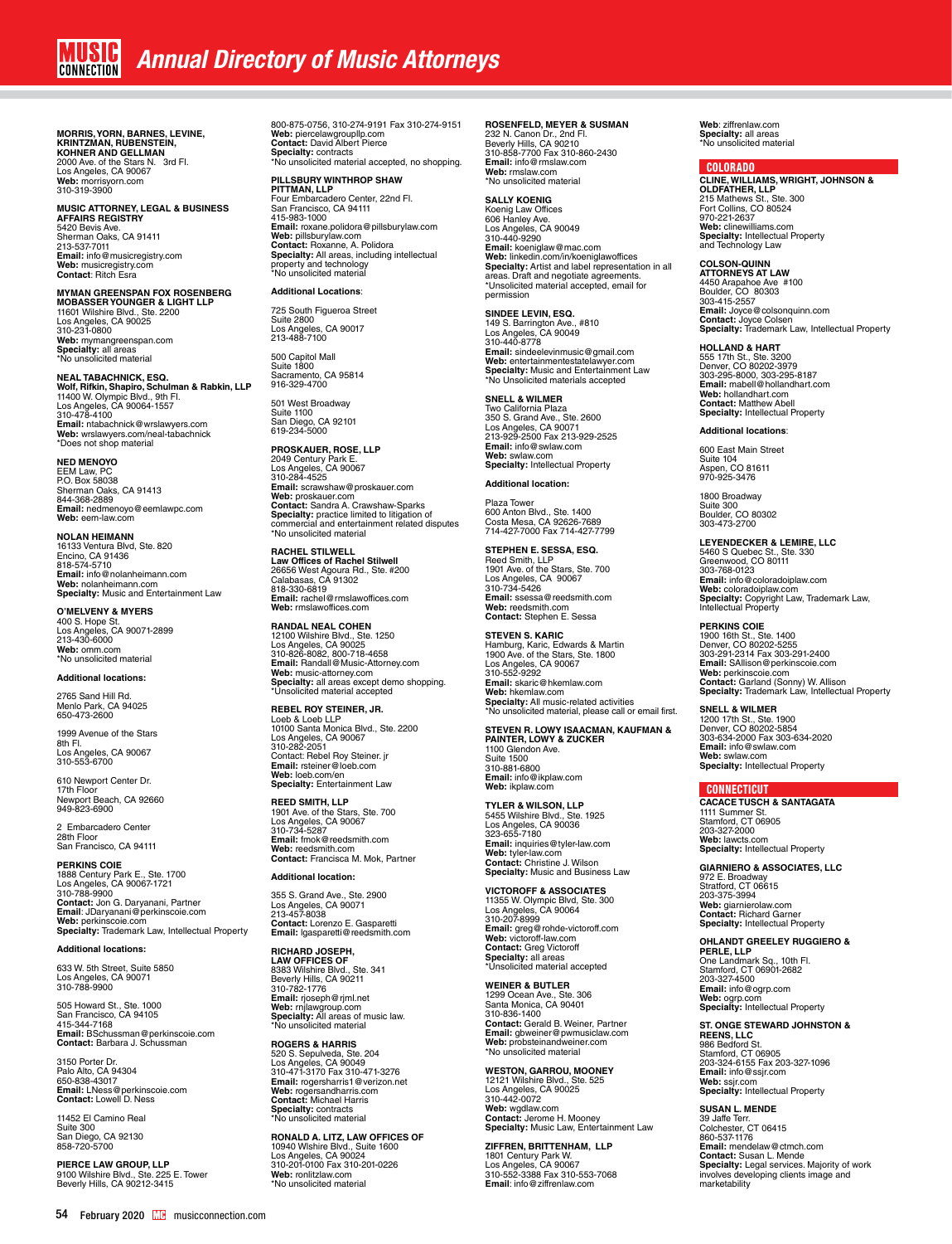# **MORRIS, YORN, BARNES, LEVINE,<br><b>KRINTZMAN, RUBENSTEIN,<br>KOHNER AND GELLMAN**<br>2000 Ave. of the Stars N. 3rd Fl.<br>Los Angeles, CA 90067<br>Web: [morrisyorn.com](http://morrisyorn.com/)<br>Web: morrisyorn.com 310-319-3900

## **MUSIC ATTORNEY, LEGAL & BUSINESS AFFAIRS REGISTRY** 5420 Bevis Ave. Sherman Oaks, CA 91411 213-537-7011 **Email:** info@musicregistry.com **Web:** musicregistry.com **Contact**: Ritch Esra

**MYMAN GREENSPAN FOX ROSENBERG MOBASSER YOUNGER & LIGHT LLP** 11601 Wilshire Blvd., Ste. 2200 Los Angeles, CA 90025 310-231-0800 **Web:** mymangreenspan.com **Specialty:** all areas \*No unsolicited material

## **NEAL TABACHNICK, ESQ. Wolf, Rifkin, Shapiro, Schulman & Rabkin, LLP** 11400 W. Olympic Blvd., 9th Fl. Los Angeles, CA 90064-1557 310-478-4100 **Email:** ntabachnick@wrslawyers.com **Web:** wrslawyers.com/neal-tabachnick \*Does not shop material

### **NED MENOYO**

EEM Law, PC P.O. Box 58038 Sherman Oaks, CA 91413<br>844-368-2889 844-368-2889 **Email:** nedmenoyo@eemlawpc.com **Web:** eem-law.com

**NOLAN HEIMANN** 16133 Ventura Blvd, Ste. 820 Encino, CA 91436 818-574-5710 **Email:** info@nolanheimann.com **Web:** nolanheimann.com **Specialty:** Music and Entertainment Law

**O'MELVENY & MYERS** 400 S. Hope St. Los Angeles, CA 90071-2899 213-430-6000 **Web:** omm.com \*No unsolicited material

### **Additional locations:**

2765 Sand Hill Rd. Menlo Park, CA 94025 650-473-2600

1999 Avenue of the Stars 8th Fl. Los Angeles, CA 90067 310-553-6700

610 Newport Center Dr. 17th Floor Newport Beach, CA 92660 949-823-6900

2 Embarcadero Center 28th Floor San Francisco, CA 94111

**PERKINS COIE** 1888 Century Park E., Ste. 1700 Los Angeles, CA 90067-1721 310-788-9900 **Contact:** Jon G. Daryanani, Partner<br>**Email**: JDaryanani@perkinscoie.com<br>**Web:** perkinscoie.com<br>**Specialty:** Trademark Law, Intellectual Property

**Additional locations:**

633 W. 5th Street, Suite 5850 Los Angeles, CA 90071 310-788-9900

505 Howard St., Ste. 1000<br>San Francisco, CA 94105<br>415-344-7168<br>**Email:** BSchussman@perkinscoie.com **Contact:** Barbara J. Schussman

3150 Porter Dr. Palo Alto, CA 94304 650-838-43017 **Email:** LNess@perkinscoie.com **Contact:** Lowell D. Ness

11452 El Camino Real Suite 300 San Diego, CA 92130 858-720-5700

**PIERCE LAW GROUP, LLP**<br>9100 Wilshire Blvd., Ste. 225 E. Tower<br>Beverly Hills, CA 90212-3415

800-875-0756, 310-274-9191 Fax 310-274-9151 **Web:** piercelawgroupllp.com **Contact:** David Albert Pierce **Specialty:** contracts \*No unsolicited material accepted, no shopping.

**PILLSBURY WINTHROP SHAW<br><b>PITTMAN, LLP**<br>Four Embarcadero Center, 22nd Fl.<br>San Francisco, CA 94111<br>415-983-1000

**Email:** roxane.polidora@pillsburylaw.com<br>**Web:** pillsburylaw.com<br>**Contact:** Roxanne, A. Polidora **Specialty:** All areas, including intellectual<br>property and technology<br>\*No unsolicited material

### **Additional Locations**:

725 South Figueroa Street Suite 2800 Los Angeles, CA 90017 213-488-7100

500 Capitol Mall Suite 1800 Sacramento, CA 95814 916-329-4700

501 West Broadway<br>Suite 1100 Suite 1100 San Diego, CA 92101 619-234-5000

**PROSKAUER, ROSE, LLP** 2049 Century Park E. Los Angeles, CA 90067 310-284-4525 **Email:** scrawshaw@proskauer.com **Web:** proskauer.com<br>**Contact:** Sandra A. Crawshaw-Sparks<br>**Specialty:** practice limited to litigation of<br>commercial and entertainment related disputes<br>\*No unsolicited material

**RACHEL STILWELL Law Offices of Rachel Stilwell**<br>26656 West Agoura Rd., Ste. #200<br>Calabasas, CA 91302 818-330-6819 **Email:** rachel@rmslawoffices.com **Web:** rmslawoffices.com

**RANDAL NEAL COHEN<br>12100 Wilshire Blvd., Ste. 1250<br>Los Angeles, CA 90025<br>310-826-8082, 800-718-4658<br><b>Email:** Randall@Music-Attorney.com **Web:** music-attorney.com **Specialty:** all areas except demo shopping. \*Unsolicited material accepted

**REBEL ROY STEINER, JR.** Loeb & Loeb LLP 10100 Santa Monica Blvd., Ste. 2200 Los Angeles, CA 90067 310-282-2051 Contact: Rebel Roy Steiner. jr **Email:** rsteiner@loeb.com **Web:** [loeb.com/en](https://www.loeb.com/en) **Specialty:** Entertainment Law

**REED SMITH, LLP**  1901 Ave. of the Stars, Ste. 700 Los Angeles, CA 90067 310-734-5287 **Email:** fmok@reedsmith.com **Web:** reedsmith.com **Contact:** Francisca M. Mok, Partner

**Additional location:** 355 S. Grand Ave., Ste. 2900 Los Angeles, CA 90071 213-457-8038 **Contact:** Lorenzo E. Gasparetti **Email:** lgasparetti@reedsmith.com

**RICHARD JOSEPH, LAW OFFICES OF** 8383 Wilshire Blvd., Ste. 341 Beverly Hills, CA 90211

310-782-1776 **Email:** rjoseph@rjml.net **Web:** rnjlawgroup.com **Specialty:** All areas of music law. \*No unsolicited material

**ROGERS & HARRIS** 520 S. Sepulveda, Ste. 204<br>Los Angeles, CA 90049<br>310-471-3170 Fax 310-471-3276<br>**Email:** rogersandharris.com<br>**Web:** rogersandharris.com<br>**Contact:** Michael Harris **Specialty:** contracts \*No unsolicited material

**RONALD A. LITZ, LAW OFFICES OF**  10940 Wlshire Blvd., Suite 1600 Los Angeles, CA 90024 310-201-0100 Fax 310-201-0226 **Web:** ronlitzlaw.com \*No unsolicited material

### **ROSENFELD, MEYER & SUSMAN**

232 N. Canon Dr., 2nd Fl. Beverly Hills, CA 90210 310-858-7700 Fax 310-860-2430 **Email:** info@rmslaw.com **Web:** rmslaw.com \*No unsolicited material

### **SALLY KOENIG**

Koenig Law Offices 606 Hanley Ave. Los Angeles, CA 90049 310-440-9290 **Email:** koeniglaw@mac.com<br>**Web:** linkedin.com/in/koeniglawoffices<br>**Specialty:** Artist and label representation in all<br>areas. Draft and negotiate agreements.<br>\*Unsolicited material accepted, email for permission

**SINDEE LEVIN, ESQ.**<br>149 S. Barrington Ave., #810<br>Los Angeles, CA 90049<br>310-440-8778 **Email:** sindeelevinmusic@gmail.com<br>**Web:** [entertainmentestatelawyer.com](https://www.entertainmentestatelawyer.com/)<br>**Specialty:** Music and Entertainment Law<br>\*No Unsolicited materials accepted

**SNELL & WILMER**

Two California Plaza<br>350 S. Grand Ave., Ste. 2600<br>Los Angeles, CA 90071<br>213-929-2500 Fax 213-929-2525<br>**Email:** info@swlaw.com **Web:** swlaw.com **Specialty:** Intellectual Property

**Additional location:**

Plaza Towe 600 Anton Blvd., Ste. 1400 Costa Mesa, CA 92626-7689 714-427-7000 Fax 714-427-7799

**STEPHEN E. SESSA, ESQ.**  Reed Smith, LLP 1901 Ave. of the Stars, Ste. 700 Los Angeles, CA 90067 310-734-5426 **Email:** ssessa@reedsmith.com **Web:** reedsmith.com **Contact:** Stephen E. Sessa

**STEVEN S. KARIC** Hamburg, Karic, Edwards & Martin 1900 Ave. of the Stars, Ste. 1800 Los Angeles, CA 90067 310-552-9292 **Email:** skaric@hkemlaw.com<br>**Web:** hkemlaw.com<br>**Specialty:** All music-related activities<br>\*No unsolicited material, please call or email first.

**STEVEN R. LOWY ISAACMAN, KAUFMAN & PAINTER, LOWY & ZUCKER** 1100 Glendon Ave. Suite 1500 310-881-6800 **Email:** info@ikplaw.com

**Web:** ikplaw.com **TYLER & WILSON, LLP** 5455 Wilshire Blvd., Ste. 1925 Los Angeles, CA 90036 323-655-7180 **Email:** inquiries@tyler-law.com **Web:** tyler-law.com **Contact:** Christine J. Wilson **Specialty:** Music and Business Law

**VICTOROFF & ASSOCIATES<br>11355 W. Olympic Blvd, Ste. 300<br>Los Angeles, CA 90064<br>310-207-8999 Email:** greg@rohde-victoroff.com **Web:** victoroff-law.com **Contact:** Greg Victoroff **Specialty:** all areas \*Unsolicited material accepted

**WEINER & BUTLER** 1299 Ocean Ave., Ste. 306 Santa Monica, CA 90401 310-836-1400 **Contact:** Gerald B. Weiner, Partner **Email:** gbweiner@pwmusiclaw.com **Web:** probsteinandweiner.com \*No unsolicited material

**WESTON, GARROU, MOONEY** 12121 Wilshire Blvd., Ste. 525 Los Angeles, CA 90025 310-442-0072 **Web:** wgdlaw.com **Contact:** Jerome H. Mooney **Specialty:** Music Law, Entertainment Law

**ZIFFREN, BRITTENHAM, LLP**  1801 Century Park W. Los Angeles, CA 90067 310-552-3388 Fax 310-553-7068 **Email**: info@ziffrenlaw.com

**Web**: ziffrenlaw.com **Specialty:** all areas \*No unsolicited material

### COLORADO

**CLINE, WILLIAMS, WRIGHT, JOHNSON & OLDFATHER, LLP**<br>215 Mathews St., Ste. 300<br>Fort Collins, CO 80524<br>970-221-2637 **Web:** clinewilliams.com **Specialty:** Intellectual Property and Technology Law

**COLSON-QUINN ATTORNEYS AT LAW**  4450 Arapahoe Ave #100 Boulder, CO 80303 303-415-2557 **Email:** Joyce@colsonquinn.com **Contact:** Joyce Colsen **Specialty:** Trademark Law, Intellectual Property

**HOLLAND & HART**<br>555 17th St., Ste. 3200<br>Denver, CO 80202-3979 303-295-8000, 303-295-8187 **Email:** mabell@hollandhart.com **Web:** hollandhart.com **Contact:** Matthew Abell **Specialty:** Intellectual Property

### **Additional locations**:

600 East Main Street Suite 104 Aspen, CO 81611 970-925-3476

1800 Broadway Suite 300 Boulder, CO 80302 303-473-2700

**LEYENDECKER & LEMIRE, LLC<br>5460 S Quebec St., Ste. 330<br>Greenwood, CO 80111<br>303-768-0123 Email:** info@coloradoiplaw.com<br>**Web:** coloradoiplaw.com<br>**Specialty:** Copyright Law, Trademark Law,<br>Intellectual Property

**PERKINS COIE** 1900 16th St., Ste. 1400 Denver, CO 80202-5255 303-291-2314 Fax 303-291-2400 **Email:** SAllison@perkinscoie.com **Web:** perkinscoie.com **Contact:** Garland (Sonny) W. Allison **Specialty:** Trademark Law, Intellectual Property

**SNELL & WILMER** 1200 17th St., Ste. 1900 Denver, CO 80202-5854 303-634-2000 Fax 303-634-2020 **Email:** info@swlaw.com **Web:** swlaw.com **Specialty:** Intellectual Property

### **CONNECTICUT**

**CACACE TUSCH & SANTAGATA**  1111 Summer St. Stamford, CT 06905 203-327-2000 **Web:** lawcts.com **Specialty:** Intellectual Property

**GIARNIERO & ASSOCIATES, LLC** 972 E. Broadway Stratford, CT 06615 203-375-3994 **Web:** giarnierolaw.com **Contact:** Richard Garner **Specialty:** Intellectual Property

**OHLANDT GREELEY RUGGIERO & PERLE, LLP**  One Landmark Sq., 10th Fl. Stamford, CT 06901-2682 203-327-4500 **Email:** info@ogrp.com **Web:** ogrp.com **Specialty:** Intellectual Property

## **ST. ONGE STEWARD JOHNSTON & REENS, LLC**

986 Bedford St. Stamford, CT 06905 203-324-6155 Fax 203-327-1096 **Email:** info@ssjr.com **Web:** ssjr.com **Specialty:** Intellectual Property

**SUSAN L. MENDE<br>39 Jaffe Terr.<br>Colchester, CT 06415<br>860-537-1176 Email:** mendelaw@ctmch.com<br>**Contact:** Susan L. Mende<br>**Specialty:** Legal services. Majority of work<br>involves developing clients image and marketability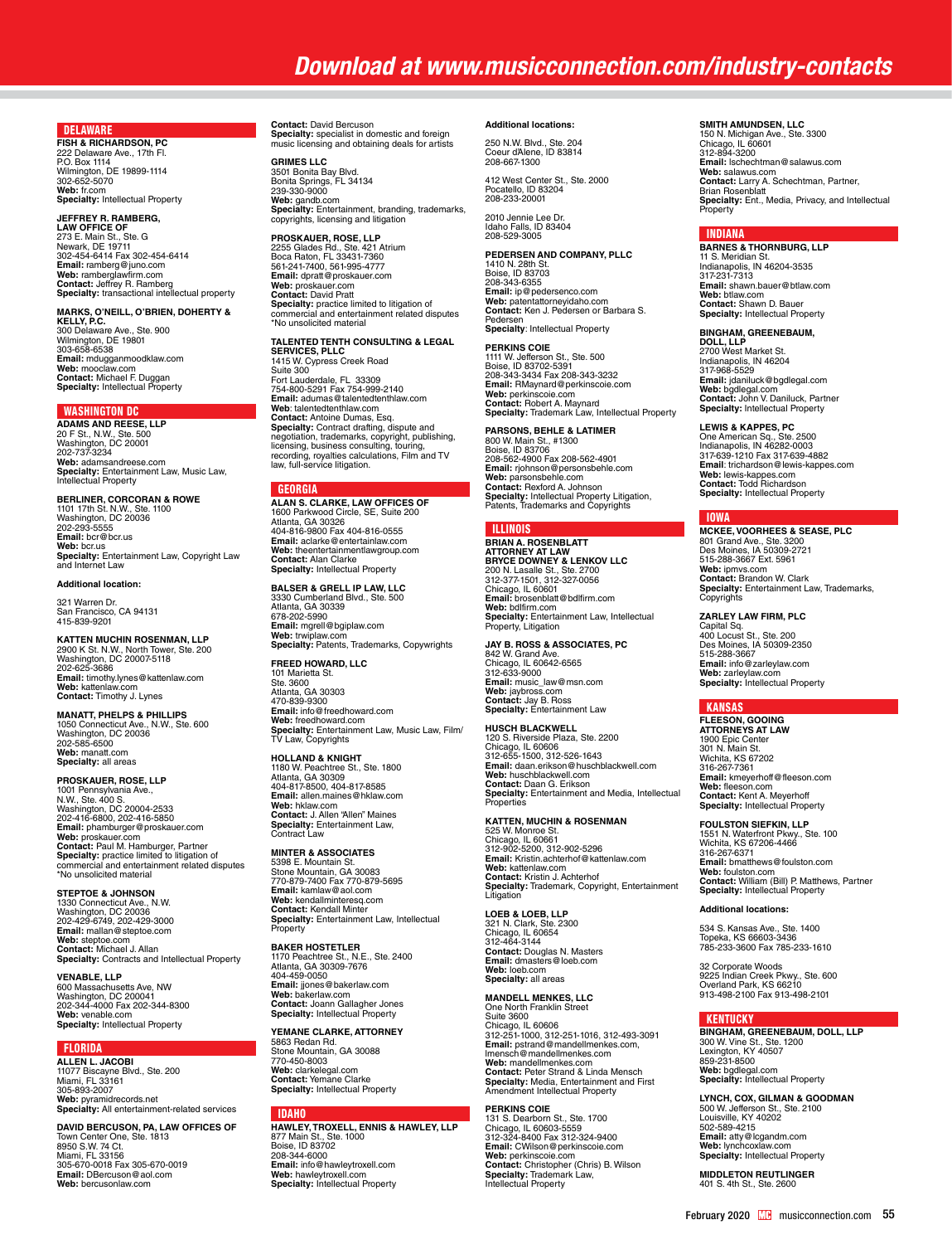### DELAWARE

**FISH & RICHARDSON, PC** 222 Delaware Ave., 17th Fl. P.O. Box 1114 Wilmington, DE 19899-1114 302-652-5070 **Web:** fr.com **Specialty:** Intellectual Property

**JEFFREY R. RAMBERG,<br><b>LAW OFFICE OF**<br>273 E. Main St., Ste. G<br>Newark, DE 19711 302-454-6414 Fax 302-454-6414<br>**Email:** ramberg@juno.com<br>**Web:** ramberglawfirm.com<br>**Contact:** Jeffrey R. Ramberg<br>**Specialty:** transactional intellectual property

**MARKS, O'NEILL, O'BRIEN, DOHERTY &<br><b>KELLY, P.C.**<br>**300 Delaware Ave., Ste. 900<br>300 Delaware Ave., Ste. 900<br>Wilmington, DE 19801<br>303-658-6538 Email:** mdugganmoodklaw.com **Web:** mooclaw.com **Contact:** Michael F. Duggan **Specialty:** Intellectual Property

### WASHINGTON DC

**ADAMS AND REESE, LLP** 20 F St., N.W., Ste. 500 Washington, DC 20001 202-737-3234 **Web:** adamsandreese.com **Specialty:** Entertainment Law, Music Law,<br>Intellectual Property

## **BERLINER, CORCORAN & ROWE**

1101 17th St. N.W., Ste. 1100 Washington, DC 20036 202-293-5555 **Email:** bcr@bcr.us **Web:** bcr.us **Specialty:** Entertainment Law, Copyright Law and Internet Law

### **Additional location:**

321 Warren Dr. San Francisco, CA 94131 415-839-9201

## **KATTEN MUCHIN ROSENMAN, LLP** 2900 K St. N.W., North Tower, Ste. 200 Washington, DC 20007-5118 202-625-3686 **Email:** timothy.lynes@kattenlaw.com **Web:** kattenlaw.com **Contact:** Timothy J. Lynes

**MANATT, PHELPS & PHILLIPS**  1050 Connecticut Ave., N.W., Ste. 600 Washington, DC 20036 202-585-6500 **Web:** manatt.com **Specialty:** all areas

### **PROSKAUER, ROSE, LLP**

1001 Pennsylvania Ave.,<br>N.W., Ste. 400 S.<br>Washington, DC 20004-2533<br>202-416-6800, 202-416-5850 Email: phamburger@proskauer.com<br>Web: proskauer.com<br>Contact: Paul M. Hamburger, Partner<br>Specialty: practice limited to litigation of<br>commercial and entertainment related disputes<br>"No unsolicited material

### **STEPTOE & JOHNSON**

1330 Connecticut Ave., N.W. Washington, DC 20036 202-429-6749, 202-429-3000 **Email:** mallan@steptoe.com **Web:** steptoe.com **Contact:** Michael J. Allan **Specialty:** Contracts and Intellectual Property

**VENABLE, LLP<br>600 Massachusetts Ave, NW<br>Washington, DC 200041<br>202-344-4000 Fax 202-344-8300<br><b>Web:** venable.com<br>**Specialty:** Intellectual Property

### FLORIDA

**ALLEN L. JACOBI** 11077 Biscayne Blvd., Ste. 200 Miami, FL 33161 305-893-2007 **Web:** pyramidrecords.net **Specialty:** All entertainment-related services

**DAVID BERCUSON, PA, LAW OFFICES OF** Town Center One, Ste. 1813 8950 S.W. 74 Ct. Miami, FL 33156 305-670-0018 Fax 305-670-0019 **Email:** DBercuson@aol.com **Web:** bercusonlaw.com

**Contact:** David Bercuson **Specialty:** specialist in domestic and foreign music licensing and obtaining deals for artists

**GRIMES LLC** 3501 Bonita Bay Blvd. Bonita Springs, FL 34134 239-330-9000 **Web:** gandb.com<br>**Specialty:** Entertainment, branding, trademarks,<br>copyrights, licensing and litigation

**PROSKAUER, ROSE, LLP**<br>2255 Glades Rd., Ste. 421 Atrium<br>Boca Raton, FL 33431-7360<br>561-241-7400, 561-995-4777 **Email:** dpratt@proskauer.com **Web:** proskauer.com **Contact:** David Pratt **Specialty:** practice limited to litigation of commercial and entertainment related disputes \*No unsolicited material

### **TALENTED TENTH CONSULTING & LEGAL SERVICES, PLLC** 1415 W. Cypress Creek Road

Suite 300 Fort Lauderdale, FL 33309 754-800-5291 Fax 754-999-2140 **Email:** adumas@talentedtenthlaw.com **We**b: talenteddenthlaw.com<br>**Contact:** Antoine Dumas, Esq.<br>**Specialty:** Contract drafting, dispute and<br>negotiation, trademarks, copyright, publishing,<br>licensing, business consulting, touring,<br>recording, royalties calculati

### **GEORGIA**

**ALAN S. CLARKE, LAW OFFICES OF** 1600 Parkwood Circle, SE, Suite 200 Atlanta, GA 30326 404-816-9800 Fax 404-816-0555 **Email:** aclarke@entertainlaw.com **Web:** theentertainmentlawgroup.com **Contact:** Alan Clarke **Specialty:** Intellectual Property

**BALSER & GRELL IP LAW, LLC** 3330 Cumberland Blvd., Ste. 500 Atlanta, GA 30339 678-202-5990 **Email:** mgrell@bgiplaw.com **Web:** trwiplaw.com **Specialty:** Patents, Trademarks, Copywrights

**FREED HOWARD, LLC**

101 Marietta St. Ste. 3600 Atlanta, GA 30303 470-839-9300 **Email:** info@freedhoward.com **Web:** freedhoward.com **Specialty:** Entertainment Law, Music Law, Film/ TV Law, Copyrights

### **HOLLAND & KNIGHT**

1180 W. Peachtree St., Ste. 1800 Atlanta, GA 30309 404-817-8500, 404-817-8585 **Email:** allen.maines@hklaw.com **Web:** hklaw.com<br>**Contact:** J. Allen "Allen" Maines<br>**Specialty:** Entertainment Law,<br>Contract Law

MINTER & ASSOCIATES<br>5398 E. Mountain St.<br>Stone Mountain, GA 30083<br>770-879-7400 Fax 770-879-5695<br>Email: kamlaw@aol.com<br>Web: kendallminteresq.com<br>Contact: Kendall Minter<br>Specialty: Entertainment Law, Intellectual **Property** 

BAKER HOSTETLER<br>1170 Peachtree St., N.E., Ste. 2400<br>Atlanta, GA 30309-7676<br>404-459-0050<br>Email: jjones@bakerlaw.com<br>Web: bakerlaw.com<br>Contact: Joann Gallagher Jones<br>Specialty: Intellectual Property<br>Specialty: Intellectual P

**YEMANE CLARKE, ATTORNEY** 5863 Redan Rd. Stone Mountain, GA 30088 770-450-8003 **Web:** clarkelegal.com **Contact:** Yemane Clarke **Specialty:** Intellectual Property

### **IDAHO**

**HAWLEY, TROXELL, ENNIS & HAWLEY, LLP**<br>877 Main St., Ste. 1000<br>Boise, ID 83702 208-344-6000 **Email:** info@hawleytroxell.com **Web:** hawleytroxell.com **Specialty:** Intellectual Property

### **Additional locations:**

250 N.W. Blvd., Ste. 204 Coeur d'Alene, ID 83814 208-667-1300

412 West Center St., Ste. 2000 Pocatello, ID 83204 208-233-20001

2010 Jennie Lee Dr. Idaho Falls, ID 83404 208-529-3005

### **PEDERSEN AND COMPANY, PLLC**

1410 N. 28th St. Boise, ID 83703 208-343-6355 **Email:** ip@pedersenco.com **Web:** patentattorneyidaho.com **Contact:** Ken J. Pedersen or Barbara S. Pedersen<br>**Specialty**: Intellectual Property

**PERKINS COIE**<br>1111 W. Jefferson St., Ste. 500<br>Boise, ID 83702-5391 208-343-3434 Fax 208-343-3232 **Email:** RMaynard@perkinscoie.com **Web:** perkinscoie.com **Contact:** Robert A. Maynard **Specialty:** Trademark Law, Intellectual Property

### **PARSONS, BEHLE & LATIMER**

800 W. Main St., #1300 Boise, ID 83706 208-562-4900 Fax 208-562-4901 **Email:** rjohnson@personsbehle.com **Web:** parsonsbehle.com **Contact:** Rexford A. Johnson **Specialty:** Intellectual Property Litigation,<br>Patents, Trademarks and Copyrights

### ILLINOIS

**BRIAN A. ROSENBLATT<br><b>ATTORNEY AT LAW**<br>BRYCE DOWNEY & LENKOV LLC<br>200 N. Lasalle St., Ste. 2700<br>312-377-1501, 312-327-0056<br>Chicago, IL 60601<br>**Email:** brosenblatt@bdlfirm.com **Web:** bdlfirm.com **Specialty:** Entertainment Law, Intellectual Property, Litigation

### **JAY B. ROSS & ASSOCIATES, PC**

842 W. Grand Ave. Chicago, IL 60642-6565 312-633-9000 **Email:** music\_law@msn.com **Web:** jaybross.com **Contact:** Jay B. Ross **Specialty:** Entertainment Law

**HUSCH BLACKWELL<br>120 S. Riverside Plaza, Ste. 2200<br>Chicago, IL 60606<br>312-655-1500, 312-526-1643 Email:** [daan.erikson@huschblackwell.com](mailto:daan.erikson@huschblackwell.com) **Web:** huschblackwell.com **Contact:** Daan G. Erikson **Specialty:** Entertainment and Media, Intellectual Properties

# **KATTEN, MUCHIN & ROSENMAN**

525 W. Monroe St.<br>Chicago, IL 60661<br>312-902-5200, 312-902-5296<br>**Email:** Kristin.achterhof@kattenlaw.com<br>**Web:** kattenlaw.com<br>**Contact:** Kristin J. Achterhof **Specialty:** Trademark, Copyright, Entertainment Litigation

**LOEB & LOEB, LLP**  321 N. Clark, Ste. 2300 Chicago, IL 60654 312-464-3144 **Contact:** Douglas N. Masters **Email:** dmasters@loeb.com **Web:** loeb.com **Specialty:** all areas

**MANDELL MENKES, LLC** One North Franklin Street Suite 3600 Chicago, IL 60606 312-251-1000, 312-251-1016, 312-493-3091 **Email:** [pstrand@mandellmenkes.com,](mailto:pstrand@mandellmenkes.com) lmensch@mandellmenkes.com **Web:** mandellmenkes.com **Contact:** Peter Strand & Linda Mensch **Specialty:** Media, Entertainment and First Amendment Intellectual Property

### **PERKINS COIE**

131 S. Dearborn St., Ste. 1700 Chicago, IL 60603-5559 312-324-8400 Fax 312-324-9400 **Email:** CWilson@perkinscoie.com<br>**Web:** perkinscoie.com<br>**Contact:** Christopher (Chris) B. Wilson<br>**Specialty:** Trademark Law, Intellectual Property

### **SMITH AMUNDSEN, LLC**

150 N. Michigan Ave., Ste. 3300 Chicago, IL 60601 312-894-3200 **Email:** lschechtman@salawus.com **Web:** salawus.com<br>**Contact:** Larry A. Schechtman, Partner,<br>Brian Rosenblatt<br>**Specialty:** Ent., Media, Privacy, and Intellectual **Property** 

### INDIANA

**BARNES & THORNBURG, LLP<br>11 S. Meridian St.<br>Indianapolis, IN 46204-3535** 317-231-7313 **Email:** shawn.bauer@btlaw.com **Web:** btlaw.com **Contact:** Shawn D. Bauer **Specialty:** Intellectual Property

**BINGHAM, GREENEBAUM,<br><b>DOLL, LLP**<br>2700 West Market St.<br>Indianapolis, IN 46204<br>317-968-5529 **Email:** jdaniluck@bgdlegal.com **Web:** bgdlegal.com **Contact:** John V. Daniluck, Partner **Specialty:** Intellectual Property

### **LEWIS & KAPPES, PC**

One American Sq., Ste. 2500 Indianapolis, IN 46282-0003 317-639-1210 Fax 317-639-4882 **Email**: trichardson@lewis-kappes.com **Web:** lewis-kappes.com **Contact:** Todd Richardson **Specialty:** Intellectual Property

## IOWA

**MCKEE, VOORHEES & SEASE, PLC** 801 Grand Ave., Ste. 3200 Des Moines, IA 50309-2721 515-288-3667 Ext. 5961 **Web:** ipmvs.com **Contact:** Brandon W. Clark **Specialty:** Entertainment Law, Trademarks, Copyrights

### **ZARLEY LAW FIRM, PLC**

Capital Sq. 400 Locust St., Ste. 200 Des Moines, IA 50309-2350 515-288-3667 **Email:** info@zarleylaw.com **Web:** zarleylaw.com **Specialty:** Intellectual Property

### KANSAS

**FLEESON, GOOING ATTORNEYS AT LAW** 1900 Epic Center 301 N. Main St. Wichita, KS 67202 316-267-7361 **Email:** kmeyerhoff@fleeson.com **Web:** fleeson.com **Contact:** Kent A. Meyerhoff **Specialty:** Intellectual Property

### **FOULSTON SIEFKIN, LLP**

1551 N. Waterfront Pkwy., Ste. 100 Wichita, KS 67206-4466 316-267-6371 **Email:** bmatthews@foulston.com **Web:** foulston.com **Contact:** William (Bill) P. Matthews, Partner **Specialty:** Intellectual Property

### **Additional locations:**

534 S. Kansas Ave., Ste. 1400 Topeka, KS 66603-3436 785-233-3600 Fax 785-233-1610

32 Corporate Woods 9225 Indian Creek Pkwy., Ste. 600 Overland Park, KS 66210 913-498-2100 Fax 913-498-2101

### **KENTUCKY**

**BINGHAM, GREENEBAUM, DOLL, LLP**<br>300 W. Vine St., Ste. 1200<br>Lexington, KY 40507<br>859-231-8500<br>**Web:** bgdlegal.com<br>**Specialty:** Intellectual Property

**LYNCH, COX, GILMAN & GOODMAN<br>500 W. Jefferson St., Ste. 2100<br>Louisville, KY 40202** 502-589-4215 **Email:** atty@lcgandm.com **Web:** lynchcoxlaw.com **Specialty:** Intellectual Property

**MIDDLETON REUTLINGER** 401 S. 4th St., Ste. 2600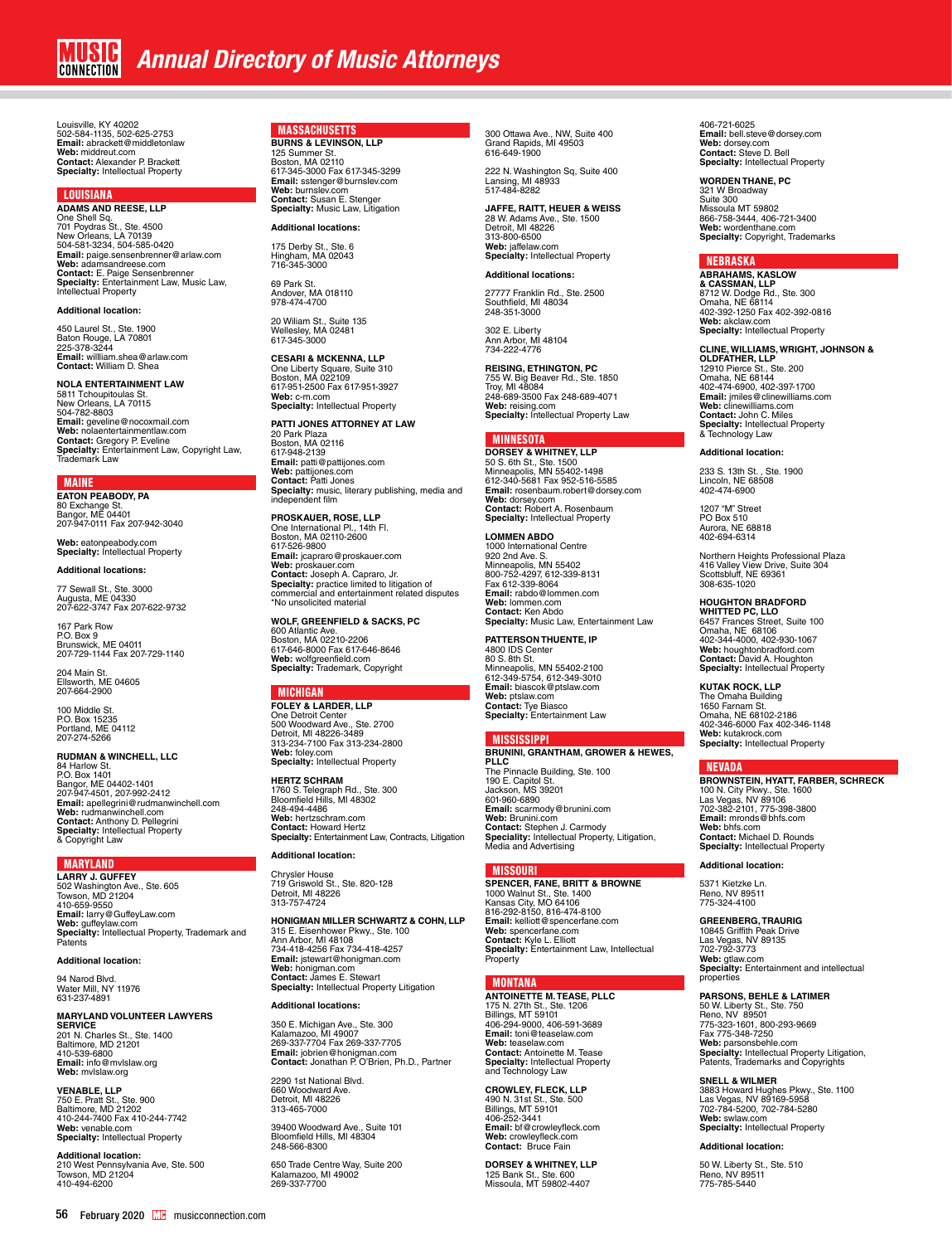Louisville, KY 40202 502-584-1135, 502-625-2753 **Email:** abrackett@middletonlaw **Web:** middreut.com **Contact:** Alexander P. Brackett **Specialty:** Intellectual Property

### LOUISIANA

**ADAMS AND REESE, LLP<br>One Shell Sq.<br>701 Poydras St., Ste. 4500<br>New Orleans, LA 70139<br>504-581-3234, 504-585-0420 Email:** paige.sensenbrenner@arlaw.com<br>**Web:** adamsandreese.com<br>**Contact:** E. Paige Sensenbrenner<br>**Specialty:** Entertainment Law, Music Law,<br>Intellectual Property

### **Additional location:**

450 Laurel St., Ste. 1900 Baton Rouge, LA 70801<br>225-378-3244<br>**Email:** willliam.shea@arlaw.com **Contact:** William D. Shea

**NOLA ENTERTAINMENT LAW**<br>5811 Tchoupitoulas St.<br>New Orleans, LA 70115 504-782-8803<br>**Email:** geveline@nocoxmail.com<br>**Web:** nolaentertainmentlaw.com<br>**Contact:** Gregory P. Eveline<br>**Specialty:** Entertainment Law, Copyright Law,<br>Trademark Law

### MAINE

**EATON PEABODY, PA<br>80 Exchange St.<br>Bangor, ME 04401<br>207-947-0111 Fax 207-942-3040** 

**Web:** eatonpeabody.com **Specialty:** Intellectual Property

### **Additional locations:**

77 Sewall St., Ste. 3000 Augusta, ME 04330 207-622-3747 Fax 207-622-9732

167 Park Row P.O. Box 9 Brunswick, ME 04011 207-729-1144 Fax 207-729-1140

204 Main St. Ellsworth, ME 04605 207-664-2900

100 Middle St. P.O. Box 15235 Portland, ME 04112 207-274-5266

**RUDMAN & WINCHELL, LLC** 

84 Harlow St. P.O. Box 1401 Bangor, ME 04402-1401<br>207-947-4501, 207-992-2412<br>**Email:** apellegrini@rudmanwinchell.com<br>**Web:** rudmanwinchell.com<br>**Contact:** Anthony D. Pellegrini<br>**Specialty:** Intellectual Property & Copyright Law

### MARYLAND

**LARRY J. GUFFEY** 502 Washington Ave., Ste. 605 Towson, MD 21204 410-659-9550<br>**Emai**l: larry@GuffeyLaw.com<br>**Web:** guffeylaw.com<br>**Specialty:** Intellectual Property, Trademark and<br>Patents

**Additional location:**

94 Narod Blvd. Water Mill, NY 11976 631-237-4891

### **MARYLAND VOLUNTEER LAWYERS**

**SERVICE**<br>201 N. Charles St., Ste. 1400<br>Baltimore, MD 21201<br>410-539-6800 **Email:** info@mvlslaw.org **Web:** mvlslaw.org

**VENABLE, LLP**<br>750 E. Pratt St., Ste. 900<br>Baltimore, MD 21202 410-244-7400 Fax 410-244-7742 **Web:** venable.com **Specialty:** Intellectual Property

**Additional location:** 210 West Pennsylvania Ave, Ste. 500 Towson, MD 21204 410-494-6200

### MASSACHUSETTS **BURNS & LEVINSON, LLP**

125 Summer St. Boston, MA 02110 617-345-3000 Fax 617-345-3299<br>**Email:** sstenger@burnslev.com<br>**Web:** burnslev.com<br>**Contact:** Susan E. Stenger<br>**Specialty:** Music Law, Litigation

**Additional locations:**

175 Derby St., Ste. 6 Hingham, MA 02043 716-345-3000 69 Park St.

Andover, MA 018110 978-474-4700

20 Wiliam St., Suite 135 Wellesley, MA 02481 617-345-3000

## **CESARI & MCKENNA, LLP** One Liberty Square, Suite 310 Boston, MA 022109

617-951-2500 Fax 617-951-3927 **Web:** c-m.com **Specialty:** Intellectual Property **PATTI JONES ATTORNEY AT LAW**

20 Park Plaza Boston, MA 02116 617-948-2139 **Email:** patti@pattijones.com **Web:** pattijones.com **Contact:** Patti Jones **Specialty:** music, literary publishing, media and independent film

**PROSKAUER, ROSE, LLP** One International Pl., 14th Fl. Boston, MA 02110-2600 617-526-9800 **Email:** jcapraro@proskauer.com **Web:** proskauer.com<br>**Contact:** Joseph A. Capraro, Jr.<br>S**pecialty:** practice limited to litigation of<br>commercial and entertainment related disputes<br>\*No unsolicited material

**WOLF, GREENFIELD & SACKS, PC**  600 Atlantic Ave. Boston, MA 02210-2206 617-646-8000 Fax 617-646-8646 **Web:** wolfgreenfield.com **Specialty:** Trademark, Copyright

### MICHIGAN

**FOLEY & LARDER, LLP** One Detroit Center 500 Woodward Ave., Ste. 2700 Detroit, MI 48226-3489 313-234-7100 Fax 313-234-2800 **Web:** foley.com **Specialty:** Intellectual Property

**HERTZ SCHRAM**  1760 S. Telegraph Rd., Ste. 300 Bloomfield Hills, MI 48302 248-494-4486 **Web:** hertzschram.com **Contact:** Howard Hertz **Specialty:** Entertainment Law, Contracts, Litigation

**Additional location:**

## Chrysler House 719 Griswold St., Ste. 820-128 Detroit, MI 48226 313-757-4724

**HONIGMAN MILLER SCHWARTZ & COHN, LLP** 315 E. Eisenhower Pkwy., Ste. 100 Ann Arbor, MI 48108 734-418-4256 Fax 734-418-4257 **Email:** jstewart@honigman.com **Web:** honigman.com **Contact:** James E. Stewart **Specialty:** Intellectual Property Litigation

**Additional locations:**

350 E. Michigan Ave., Ste. 300 Kalamazoo, MI 49007 269-337-7704 Fax 269-337-7705 **Email:** jobrien@honigman.com **Contact:** Jonathan P. O'Brien, Ph.D., Partner

2290 1st National Blvd. 660 Woodward Ave. Detroit, MI 48226 313-465-7000

39400 Woodward Ave., Suite 101 Bloomfield Hills, MI 48304 248-566-8300

650 Trade Centre Way, Suite 200 Kalamazoo, MI 49002 269-337-7700

300 Ottawa Ave., NW, Suite 400 Grand Rapids, MI 49503 616-649-1900

222 N. Washington Sq, Suite 400 Lansing, MI 48933 517-484-8282

**JAFFE, RAITT, HEUER & WEISS** 28 W. Adams Ave., Ste. 1500 Detroit, MI 48226 313-800-6500 **Web:** jaffelaw.com **Specialty:** Intellectual Property

### **Additional locations:**

27777 Franklin Rd., Ste. 2500 Southfield, MI 48034 248-351-3000

302 E. Liberty Ann Arbor, MI 48104 734-222-4776

**REISING, ETHINGTON, PC<br>755 W. Big Beaver Rd., Ste. 1850<br>Troy, MI 48084<br>248-689-3500 Fax 248-689-4071 Web:** reising.com **Specialty:** Intellectual Property Law

### MINNESOTA

**DORSEY & WHITNEY, LLP**<br>50 S. 6th St., Ste. 1500<br>Minneapolis, MN 55402-1498<br>612-340-5681 Fax 952-516-5585 **Email:** rosenbaum.robert@dorsey.com **Web:** dorsey.com **Contact:** Robert A. Rosenbaum **Specialty:** Intellectual Property

**LOMMEN ABDO** 1000 International Centre 920 2nd Ave. S. Minneapolis, MN 55402 800-752-4297, 612-339-8131 Fax 612-339-8064 **Email:** rabdo@lommen.com **Web:** lommen.com **Contact:** Ken Abdo **Specialty:** Music Law, Entertainment Law

### **PATTERSON THUENTE, IP**

4800 IDS Cente 80 S. 8th St. Minneapolis, MN 55402-2100 612-349-5754, 612-349-3010 **Email:** biascok@ptslaw.com **Web:** ptslaw.com **Contact:** Tye Biasco **Specialty:** Entertainment Law

### MISSISSIPPI

**BRUNINI, GRANTHAM, GROWER & HEWES, PLLC** The Pinnacle Building, Ste. 100 190 E. Capitol St. Jackson, MS 39201 601-960-6890 **Email:** scarmody@brunini.com **Web:** Brunini.com **Contact:** Stephen J. Carmody<br>**Speciality:** Intellectual Property, Litigation,<br>Media and Advertising

### MISSOURI

**SPENCER, FANE, BRITT & BROWNE** 1000 Walnut St., Ste. 1400 Kansas City, MO 64106 816-292-8150, 816-474-8100 **Email:** kelliott@spencerfane.com **Web:** spencerfane.com **Contact:** Kyle L. Elliott **Specialty:** Entertainment Law, Intellectual **Property** 

### MONTANA

**ANTOINETTE M. TEASE, PLLC** 175 N. 27th St., Ste. 1206 Billings, MT 59101 406-294-9000, 406-591-3689 **Email:** toni@teaselaw.com **Web:** [teaselaw.com](http://www.teaselaw.com/) **Contact:** Antoinette M. Tease **Specialty:** Intellectual Property and Technology Law

**CROWLEY, FLECK, LLP** 490 N. 31st St., Ste. 500 Billings, MT 59101 406-252-3441 **Email:** bf@crowleyfleck.com **Web:** crowleyfleck.com **Contact:** Bruce Fain

**DORSEY & WHITNEY, LLP** 125 Bank St., Ste. 600 Missoula, MT 59802-4407

406-721-6025 **Email:** bell.steve@dorsey.com **Web:** dorsey.com **Contact:** Steve D. Bell **Specialty:** Intellectual Property

**WORDEN THANE, PC** 321 W Broadway Suite 300 Missoula MT 59802 866-758-3444, 406-721-3400 **Web:** wordenthane.com **Specialty:** Copyright, Trademarks

### NEBRASKA

**ABRAHAMS, KASLOW & CASSMAN, LLP**<br>8712 W. Dodge Rd., Ste. 300<br>Omaha, NE 68114<br>402-392-1250 Fax 402-392-0816 **Web:** akclaw.com **Specialty:** Intellectual Property

### **CLINE, WILLIAMS, WRIGHT, JOHNSON &**

**OLDFATHER, LLP** 12910 Pierce St., Ste. 200 Omaha, NE 68144 402-474-6900, 402-397-1700 **Email:** jmiles@clinewilliams.com **Web:** clinewilliams.com **Contact:** John C. Miles<br>**Specialty:** Intellectual Property<br>& Technology Law

### **Additional location:**

233 S. 13th St. , Ste. 1900 Lincoln, NE 68508 402-474-6900

1207 "M" Street PO Box 510 Aurora, NE 68818 402-694-6314

Northern Heights Professional Plaza 416 Valley View Drive, Suite 304 Scottsbluff, NE 69361 308-635-1020

## **HOUGHTON BRADFORD WHITTED PC, LLO**

6457 Frances Street, Suite 100 Omaha, NE 68106 402-344-4000, 402-930-1067 **Web:** [houghtonbradford.com](http://www.houghtonbradford.com/) **Contact:** David A. Houghton **Specialty:** Intellectual Property

**KUTAK ROCK, LLP** The Omaha Building 1650 Farnam St. Omaha, NE 68102-2186 402-346-6000 Fax 402-346-1148 **Web:** kutakrock.com **Specialty:** Intellectual Property

### NEVADA

**BROWNSTEIN, HYATT, FARBER, SCHRECK** 100 N. City Pkwy., Ste. 1600 Las Vegas, NV 89106 702-382-2101, 775-398-3800 **Email:** mronds@bhfs.com **Web:** bhfs.com **Contact:** Michael D. Rounds **Specialty:** Intellectual Property

### **Additional location:**

5371 Kietzke Ln. Reno, NV 89511 775-324-4100

### **GREENBERG, TRAURIG**

10845 Griffith Peak Drive Las Vegas, NV 89135 702-792-3773 **Web:** gtlaw.com **Specialty:** Entertainment and intellectual propertie

### **PARSONS, BEHLE & LATIMER**

50 W. Liberty St., Ste. 750 Reno, NV 89501 775-323-1601, 800-293-9669 Fax 775-348-7250 **Web:** parsonsbehle.com **Specialty:** Intellectual Property Litigation,<br>Patents, Trademarks and Copyrights

**SNELL & WILMER** 3883 Howard Hughes Pkwy., Ste. 1100 Las Vegas, NV 89169-5958 702-784-5200, 702-784-5280 **Web:** swlaw.com **Specialty:** Intellectual Property

**Additional location:**

50 W. Liberty St., Ste. 510 Reno, NV 89511 775-785-5440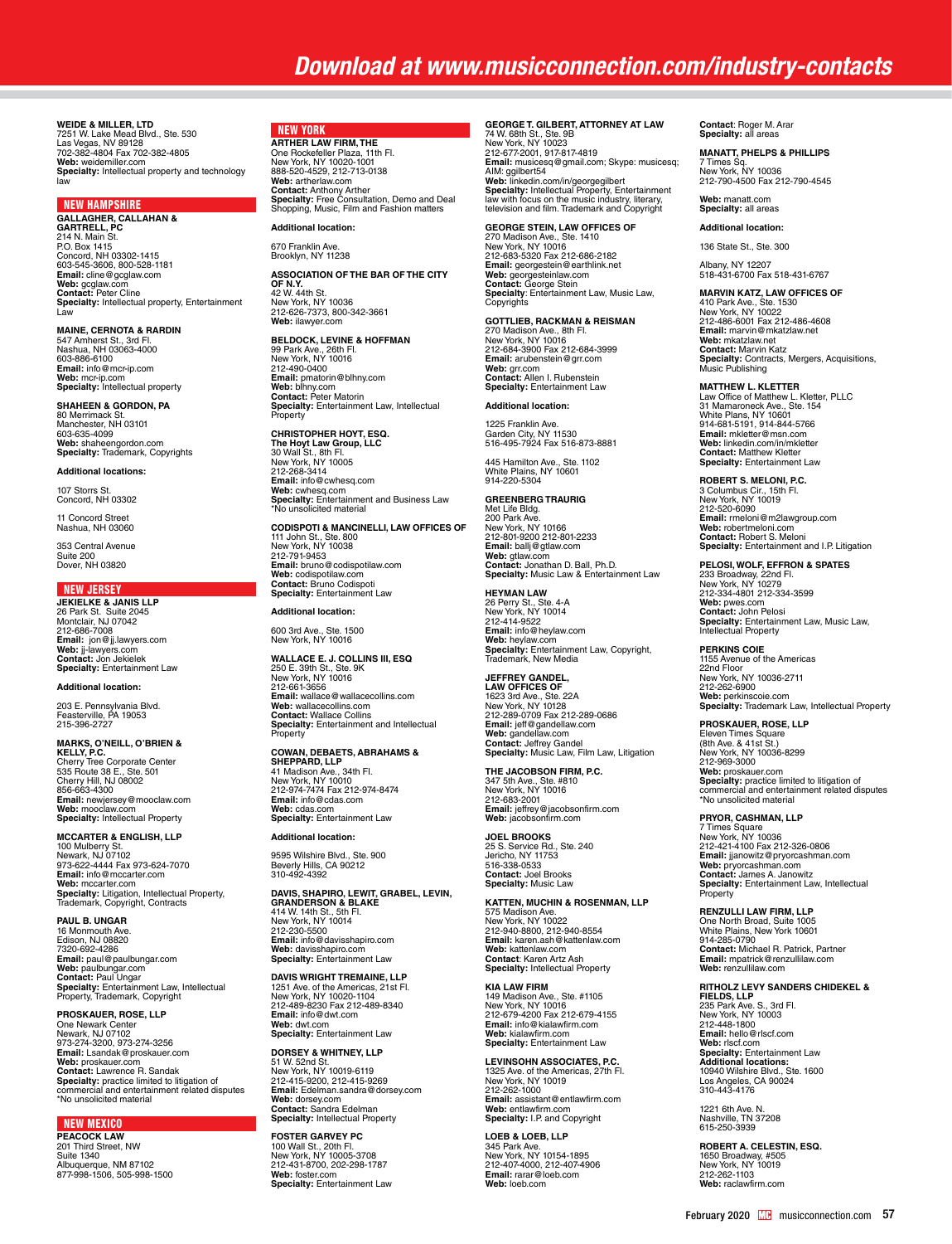**WEIDE & MILLER, LTD<br>7251 W. Lake Mead Blvd., Ste. 530<br>Las Vegas, NV 89128<br>702-382-4804 Fax 702-382-4805<br><b>Web:** weidemiller.com **Specialty:** Intellectual property and technology law

NEW HAMPSHIRE **GALLAGHER, CALLAHAN & GARTRELL, PC**  214 N. Main St. P.O. Box 1415 Concord, NH 03302-1415 603-545-3606, 800-528-1181 **Email:** cline@gcglaw.com **Web:** gcglaw.com **Contact:** Peter Cline **Specialty:** Intellectual property, Entertainment Law

**MAINE, CERNOTA & RARDIN** 547 Amherst St., 3rd Fl. Nashua, NH 03063-4000 603-886-6100 **Email:** info@mcr-ip.com **Web:** mcr-ip.com **Specialty:** Intellectual property

**SHAHEEN & GORDON, PA** 80 Merrimack St. Manchester, NH 03101 603-635-4099 **Web:** shaheengordon.com **Specialty:** Trademark, Copyrights

**Additional locations:**

107 Storrs St. Concord, NH 03302

11 Concord Street Nashua, NH 03060

353 Central Avenue Suite 200 Dover, NH 03820

### NEW JERSEY

**JEKIELKE & JANIS LLP**<br>26 Park St. Suite 2045<br>Montclair, NJ 07042<br>212-686-7008 **Email:** jon@jj.lawyers.com **Web:** jj-lawyers.com **Contact:** Jon Jekielek **Specialty:** Entertainment Law

### **Additional location:**

203 E. Pennsylvania Blvd. Feasterville, PA 19053 215-396-2727

### **MARKS, O'NEILL, O'BRIEN & KELLY, P.C.**

Cherry Tree Corporate Center 535 Route 38 E., Ste. 501 Cherry Hill, NJ 08002 856-663-4300 **Email:** newjersey@mooclaw.com **Web:** mooclaw.com **Specialty:** Intellectual Property

**MCCARTER & ENGLISH, LLP** 100 Mulberry St. Newark, NJ 07102 973-622-4444 Fax 973-624-7070 **Email:** info@mccarter.com **Web:** mccarter.com **Specialty:** Litigation, Intellectual Property,<br>Trademark, Copyright, Contracts

**PAUL B. UNGAR** 16 Monmouth Ave. Edison, NJ 08820 7320-692-4286 **Email:** paul@paulbungar.com **Web:** paulbungar.com<br>**Contact:** Paul Ungar<br>**Specialty:** Entertainment Law, Intellectual<br>Property, Trademark, Copyright

**PROSKAUER, ROSE, LLP** One Newark Center Newark, NJ 07102 973-274-3200, 973-274-3256 **Email:** Lsandak@proskauer.com **Web:** proskauer.com **Contact:** Lawrence R. Sandak **Specialty:** practice limited to litigation of commercial and entertainment related disputes \*No unsolicited material

### NEW MEXICO

**PEACOCK LAW** 201 Third Street, NW Suite 1340 Albuquerque, NM 87102 877-998-1506, 505-998-1500

### NEW YORK **ARTHER LAW FIRM, THE**

One Rockefeller Plaza, 11th Fl. New York, NY 10020-1001 888-520-4529, 212-713-0138 **Web:** artherlaw.com **Contact:** Anthony Arther **Specialty:** Free Consultation, Demo and Deal Shopping, Music, Film and Fashion matters

**Additional location:** 670 Franklin Ave. Brooklyn, NY 11238

**ASSOCIATION OF THE BAR OF THE CITY OF N.Y.** 42 W. 44th St.

New York, NY 10036 212-626-7373, 800-342-3661 **Web:** ilawyer.com

### **BELDOCK, LEVINE & HOFFMAN**

99 Park Ave., 26th Fl.<br>New York, NY 10016<br>**Email:** pmatorin@blhny.com<br>**Email:** pmatorin@blhny.com<br>**Web:** blhny.com<br>**Contact:** Peter Matorin **Specialty:** Entertainment Law, Intellectual<br>Property

**CHRISTOPHER HOYT, ESQ. The Hoyt Law Group, LLC**  30 Wall St., 8th Fl. New York, NY 10005 212-268-3414 **Email:** info@cwhesq.com **Web:** cwhesq.com **Specialty:** Entertainment and Business Law \*No unsolicited material

**CODISPOTI & MANCINELLI, LAW OFFICES OF** 111 John St., Ste. 800 New York, NY 10038 212-791-9453 **Email:** bruno@codispotilaw.com **Web:** codispotilaw.com **Contact:** Bruno Codispoti **Specialty:** Entertainment Law

### **Additional location:**

600 3rd Ave., Ste. 1500 New York, NY 10016

**WALLACE E. J. COLLINS III, ESQ** 250 E. 39th St., Ste. 9K New York, NY 10016 212-661-3656 **Email:** wallace@wallacecollins.com **Web:** wallacecollins.com **Contact:** Wallace Collins **Specialty:** Entertainment and Intellectual Property

## **COWAN, DEBAETS, ABRAHAMS & SHEPPARD, LLP** 41 Madison Ave., 34th Fl. New York, NY 10010 212-974-7474 Fax 212-974-8474 **Email:** info@cdas.com

**Web:** cdas.com **Specialty:** Entertainment Law

### **Additional location:**

9595 Wilshire Blvd., Ste. 900 Beverly Hills, CA 90212 310-492-4392

## **DAVIS, SHAPIRO, LEWIT, GRABEL, LEVIN,<br>GRANDERSON & BLAKE<br>414 W. 14th St., 5th Fl.<br>New York, NY 10014** 212-230-5500 **Email:** info@davisshapiro.com **Web:** davisshapiro.com **Specialty:** Entertainment Law

**DAVIS WRIGHT TREMAINE, LLP** 1251 Ave. of the Americas, 21st Fl. New York, NY 10020-1104 212-489-8230 Fax 212-489-8340 **Email:** info@dwt.com

# **Web:** dwt.com **Specialty:** Entertainment Law

**DORSEY & WHITNEY, LLP**<br>51 W. 52nd St.<br>New York, NY 10019-6119 212-415-9200, 212-415-9269 **Email:** Edelman.sandra@dorsey.com **Web:** dorsey.com **Contact:** Sandra Edelman **Specialty:** Intellectual Property

**FOSTER GARVEY PC** 100 Wall St., 20th Fl. New York, NY 10005-3708 212-431-8700, 202-298-1787 **Web:** foster.com **Specialty:** Entertainment Law

## **GEORGE T. GILBERT, ATTORNEY AT LAW** 74 W. 68th St., Ste. 9B New York, NY 10023 212-677-2001, 917-817-4819

**Email:** musicesq@gmail.com; Skype: musicesq; AIM: ggilbert54<br>**Web:** linkedin.com/in/georgegilbert<br>**Specialty:** Intellectual Property, Entertainment<br>law with focus on the music industry, literary,<br>television and film. Trademark and Copyright

**GEORGE STEIN, LAW OFFICES OF** 270 Madison Ave., Ste. 1410 New York, NY 10016

212-683-5320 Fax 212-686-2182 **Email:** georgestein@earthlink.net **Web:** georgesteinlaw.com<br>**Contact:** George Stein<br>**Specialty**: Entertainment Law, Music Law,<br>Copyrights

**GOTTLIEB, RACKMAN & REISMAN** 270 Madison Ave., 8th Fl. New York, NY 10016 212-684-3900 Fax 212-684-3999 **Email:** arubenstein@grr.com **Web:** grr.com **Contact:** Allen I. Rubenstein **Specialty:** Entertainment Law

### **Additional location:**

1225 Franklin Ave. Garden City, NY 11530 516-495-7924 Fax 516-873-8881

445 Hamilton Ave., Ste. 1102 White Plains, NY 10601 914-220-5304

**GREENBERG TRAURIG** Met Life Bldg. 200 Park Ave. New York, NY 10166 212-801-9200 212-801-2233 **Email:** ballj@gtlaw.com **Web:** gtlaw.com **Contact:** Jonathan D. Ball, Ph.D. **Specialty:** Music Law & Entertainment Law

**HEYMAN LAW**<br>26 Perry St., Ste. 4-A<br>New York, NY 10014 212-414-0522 **Email:** info@heylaw.com **Web:** heylaw.com<br>**Specialty:** Entertainment Law, Copyright,<br>Trademark, New Media

## **JEFFREY GANDEL,**

**LAW OFFICES OF<br>1623 3rd Ave., Ste. 22A<br>New York, NY 10128<br>212-289-0709 Fax 212-289-0686 Email:** jeff@gandellaw.com **Web:** gandellaw.com **Contact:** Jeffrey Gandel **Specialty:** Music Law, Film Law, Litigation

**THE JACOBSON FIRM, P.C.** 347 5th Ave., Ste. #810 New York, NY 10016 212-683-2001 **Email:** jeffrey@jacobsonfirm.com **Web:** jacobsonfirm.com

**JOEL BROOKS**<br>25 S. Service Rd., Ste. 240<br>Jericho, NY 11753 516-338-0533 **Contact:** Joel Brooks **Specialty:** Music Law

### **KATTEN, MUCHIN & ROSENMAN, LLP**

575 Madison Ave. New York, NY 10022 212-940-8800, 212-940-8554 **Email:** karen.ash@kattenlaw.com **Web:** kattenlaw.com **Contact**: Karen Artz Ash **Specialty:** Intellectual Property

## **KIA LAW FIRM** 149 Madison Ave., Ste. #1105<br>New York, NY 10016<br>212-679-4200 Fax 212-679-4155<br>**Email:** info@kialawfirm.com<br>**Web:** kialawfirm.com **Specialty:** Entertainment Law

**LEVINSOHN ASSOCIATES, P.C.** 1325 Ave. of the Americas, 27th Fl. New York, NY 10019 212-262-1000 **Email:** assistant@entlawfirm.com **Web:** entlawfirm.com **Specialty:** I.P. and Copyright

## **LOEB & LOEB, LLP** 345 Park Ave. New York, NY 10154-1895 212-407-4000, 212-407-4906 **Email:** rarar@loeb.com

**Web:** loeb.com

**Contact**: Roger M. Arar **Specialty:** all areas

**MANATT, PHELPS & PHILLIPS** 7 Times Sq. New York, NY 10036 212-790-4500 Fax 212-790-4545

**Web:** manatt.com **Specialty:** all areas

**Additional location:**

136 State St., Ste. 300

Albany, NY 12207 518-431-6700 Fax 518-431-6767

## **MARVIN KATZ, LAW OFFICES OF** 410 Park Ave., Ste. 1530 New York, NY 10022 212-486-6001 Fax 212-486-4608 **Email:** marvin@mkatzlaw.net **Web:** mkatzlaw.net **Contact:** Marvin Katz **Specialty:** Contracts, Mergers, Acquisitions, Music Publishing

MATTHEW L. KLETTER<br>Law Office of Matthew L. Kletter, PLLC<br>31 Mamaroneck Ave., Ste. 154<br>White Plans, NY 10601<br>914-681-5191, 914-844-5766<br>**Email:** mkletter@msn.com<br>**Web:** linkedin.com/in/mkletter<br>**Contact:** Matthew Kletter **Specialty:** Entertainment Law

**ROBERT S. MELONI, P.C.** 3 Columbus Cir., 15th Fl. New York, NY 10019 212-520-6090 **Email:** rmeloni@m2lawgroup.com **Web:** robertmeloni.com **Contact:** Robert S. Meloni **Specialty:** Entertainment and I.P. Litigation

**PELOSI, WOLF, EFFRON & SPATES** 233 Broadway, 22nd Fl. New York, NY 10279 212-334-4801 212-334-3599 **Web:** pwes.com **Contact:** John Pelosi **Specialty:** Entertainment Law, Music Law, Intellectual Property

**PERKINS COIE** 1155 Avenue of the Americas 22nd Floor New York, NY 10036-2711 212-262-6900 **Web:** perkinscoie.com **Specialty:** Trademark Law, Intellectual Property

**PROSKAUER, ROSE, LLP** Eleven Times Square (8th Ave. & 41st St.) New York, NY 10036-8299 212-969-3000 **Web:** proskauer.com **Specialty:** practice limited to litigation of commercial and entertainment related disputes \*No unsolicited material

### **PRYOR, CASHMAN, LLP**

7 Times Square New York, NY 10036 212-421-4100 Fax 212-326-0806 **Email:** jjanowitz@pryorcashman.com<br>**Web:** pryorcashman.com<br>**Contact:** James A. Janowitz<br>**Specialty:** Entertainment Law, Intellectual **Property** 

**RENZULLI LAW FIRM, LLP** One North Broad, Suite 1005 White Plains, New York 10601 914-285-0790 **Contact:** Michael R. Patrick, Partner **Email:** mpatrick@renzullilaw.com **Web:** renzullilaw.com

## **RITHOLZ LEVY SANDERS CHIDEKEL &**

**FIELDS, LLP**<br>235 Park Ave. S., 3rd Fl.<br>New York, NY 10003<br>212-448-1800<br>**Email:** hello@rlscf.com Web: rlscf.com<br>**Specialty**: Entertainment Law<br>**Additional locations:**<br>10940 Wilshire Blvd., Ste. 1600<br>Los Angeles, CA 90024<br>310-443-4176

1221 6th Ave. N. Nashville, TN 37208 615-250-3939

**ROBERT A. CELESTIN, ESQ.** 1650 Broadway, #505 New York, NY 10019 212-262-1103 **Web:** raclawfirm.com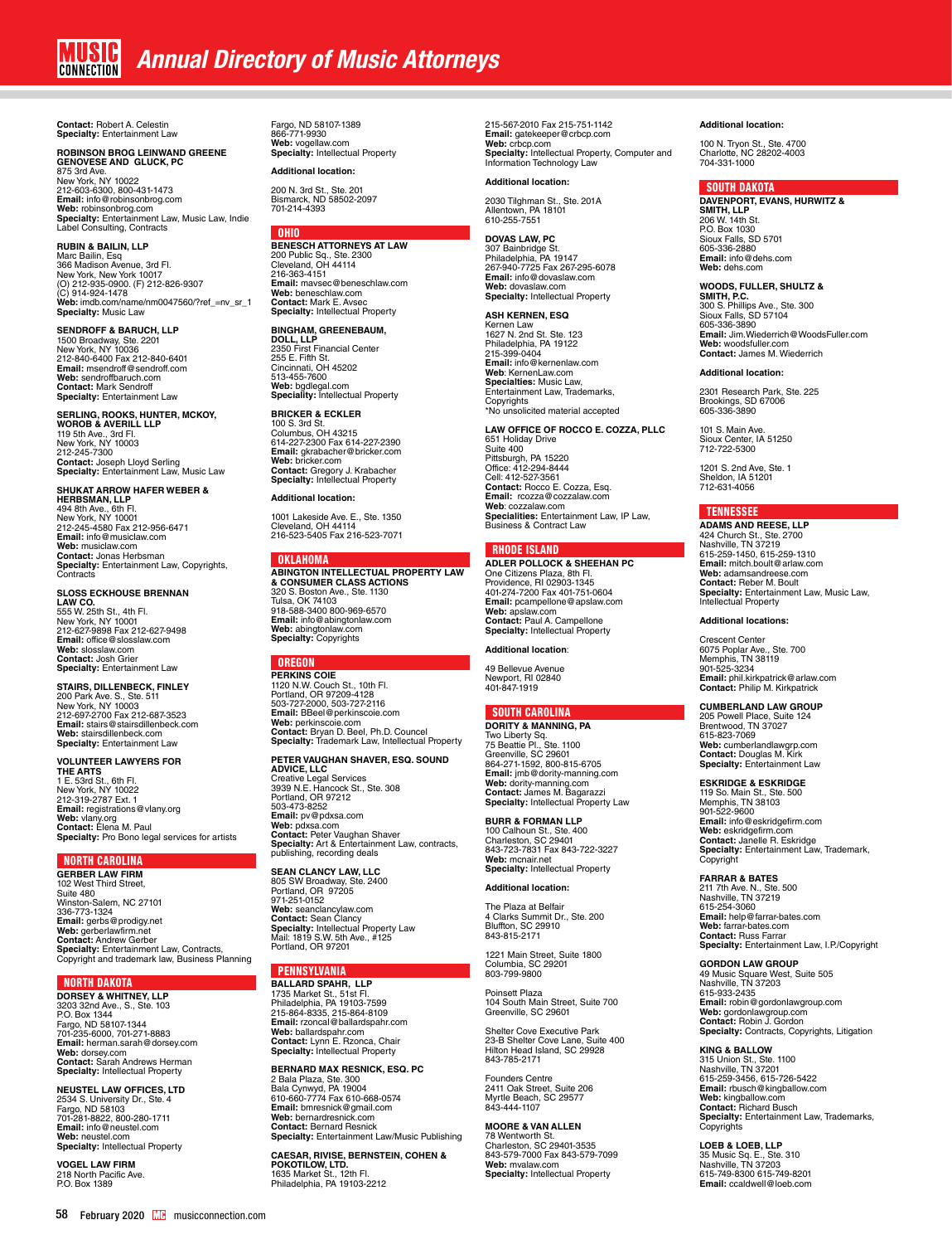**Contact:** Robert A. Celestin **Specialty:** Entertainment Law

## **ROBINSON BROG LEINWAND GREENE GENOVESE AND GLUCK, PC**

875 3rd Ave. New York, NY 10022 212-603-6300, 800-431-1473 **Email:** info@robinsonbrog.com **Web:** robinsonbrog.com<br>**Specialty:** Entertainment Law, Music Law, Indie<br>Label Consulting, Contracts

**RUBIN & BAILIN, LLP<br>Marc Bailin, Esq<br>366 Madison Avenue, 3rd Fl.<br>New York, New York 10017<br>(O) 212-935-0900. (F) 212-826-9307<br>(C) 914-924-1478<br>Web: [imdb.com/name/nm0047560/?ref\\_=nv\\_sr\\_1](http://www.imdb.com/name/nm0047560/?ref_=nv_sr_1)<br><b>Specialty:** Music Law

**SENDROFF & BARUCH, LLP** 1500 Broadway, Ste. 2201 New York, NY 10036 212-840-6400 Fax 212-840-6401 **Email:** msendroff@sendroff.com **Web:** sendroffbaruch.com **Contact:** Mark Sendroff **Specialty:** Entertainment Law

## **SERLING, ROOKS, HUNTER, MCKOY, WOROB & AVERILL LLP**

119 5th Ave., 3rd Fl. New York, NY 10003 212-245-7300 **Contact:** Joseph Lloyd Serling **Specialty:** Entertainment Law, Music Law

**SHUKAT ARROW HAFER WEBER & HERBSMAN, LLP** 494 8th Ave., 6th Fl. New York, NY 10001 212-245-4580 Fax 212-956-6471 **Email:** info@musiclaw.com **Web:** musiclaw.com **Contact:** Jonas Herbsman **Specialty:** Entertainment Law, Copyrights, **Contracts** 

**SLOSS ECKHOUSE BRENNAN LAW CO.** 555 W. 25th St., 4th Fl. New York, NY 10001 212-627-9898 Fax 212-627-9498 **Email:** office@slosslaw.com **Web:** slosslaw.com **Contact:** Josh Grier **Specialty:** Entertainment Law

**STAIRS, DILLENBECK, FINLEY<br>200 Park Ave. S., Ste. 511<br>New York, NY 10003<br>212-697-2700 Fax 212-687-3523 Email:** stairs@stairsdillenbeck.com **Web:** stairsdillenbeck.com **Specialty:** Entertainment Law

### **VOLUNTEER LAWYERS FOR**

**THE ARTS** 1 E. 53rd St., 6th Fl. New York, NY 10022 212-319-2787 Ext. 1 **Email:** registrations@vlany.org **Web:** vlany.org **Contact:** Elena M. Paul **Specialty:** Pro Bono legal services for artists

### NORTH CAROLINA

**GERBER LAW FIRM** 102 West Third Street, Suite 480 Winston-Salem, NC 27101 336-773-1324 **Email:** gerbs@prodigy.net **Web:** gerberlawfirm.net **Contact:** Andrew Gerber **Specialty:** Entertainment Law, Contracts, Copyright and trademark law, Business Planning

### NORTH DAKOTA

**DORSEY & WHITNEY, LLP** 3203 32nd Ave., S., Ste. 103 P.O. Box 1344 Fargo, ND 58107-1344 701-235-6000, 701-271-8883 **Email:** herman.sarah@dorsey.com **Web:** dorsey.com **Contact:** Sarah Andrews Herman **Specialty:** Intellectual Property

**NEUSTEL LAW OFFICES, LTD**  2534 S. University Dr., Ste. 4 Fargo, ND 58103 701-281-8822, 800-280-1711 **Email:** info@neustel.com **Web:** neustel.com **Specialty:** Intellectual Property

**VOGEL LAW FIRM**  218 North Pacific Ave. P.O. Box 1389

Fargo, ND 58107-1389 866-771-9930 **Web:** vogellaw.com **Specialty:** Intellectual Property

**Additional location:**

# 200 N. 3rd St., Ste. 201 Bismarck, ND 58502-2097 701-214-4393

OHIO **BENESCH ATTORNEYS AT LAW** 200 Public Sq., Ste. 2300 Cleveland, OH 44114 216-363-4151 **Email:** mavsec@beneschlaw.com **Web:** beneschlaw.com **Contact:** Mark E. Avsec **Specialty:** Intellectual Property

### **BINGHAM, GREENEBAUM,**

**DOLL, LLP** 2350 First Financial Center 255 E. Fifth St.<br>Cincinnati, OH 45202<br>513-455-7600<br>**Web:** bgdlegal.com<br>**Speciality:** Intellectual Property

**BRICKER & ECKLER** 100 S. 3rd St. Columbus, OH 43215 614-227-2300 Fax 614-227-2390 **Email:** gkrabacher@bricker.com **Web:** bricker.com **Contact:** Gregory J. Krabacher **Specialty:** Intellectual Property

### **Additional location:**

1001 Lakeside Ave. E., Ste. 1350 Cleveland, OH 44114 216-523-5405 Fax 216-523-7071

**ABINGTON INTELLECTUAL PROPERTY LAW & CONSUMER CLASS ACTIONS** 320 S. Boston Ave., Ste. 1130 Tulsa, OK 74103 918-588-3400 800-969-6570 **Email:** info@abingtonlaw.com **Web:** abingtonlaw.com **Specialty:** Copyrights

### **OREGON**

**PERKINS COIE** 1120 N.W. Couch St., 10th Fl. Portland, OR 97209-4128 503-727-2000, 503-727-2116 **Email:** BBeel@perkinscoie.com **Web:** perkinscoie.com **Contact:** Bryan D. Beel, Ph.D. Councel **Specialty:** Trademark Law, Intellectual Property

### **PETER VAUGHAN SHAVER, ESQ. SOUND**

**ADVICE, LLC**<br>Creative Legal Services<br>3939 N.E. Hancock St., Ste. 308<br>Portland, OR 97212 503-473-8252 **Email:** pv@pdxsa.com **Web:** pdxsa.com **Contact:** Peter Vaughan Shaver **Specialty:** Art & Entertainment Law, contracts, publishing, recording deals

**SEAN CLANCY LAW, LLC** 805 SW Broadway, Ste. 2400 Portland, OR 97205 971-251-0152 **Web:** seanclancylaw.com **Contact:** Sean Clancy<br>**Specialty:** Intellectual Property Law<br>Mail: 1819 S.W. 5th Ave., #125<br>Portland, OR 97201

### **PENNSYLVANIA**

**BALLARD SPAHR, LLP** 1735 Market St., 51st Fl. Philadelphia, PA 19103-7599 215-864-8335, 215-864-8109 **Email:** rzoncal@ballardspahr.com **Web:** ballardspahr.com **Contact:** Lynn E. Rzonca, Chair **Specialty:** Intellectual Property

**BERNARD MAX RESNICK, ESQ. PC** 2 Bala Plaza, Ste. 300 Bala Cynwyd, PA 19004 610-660-7774 Fax 610-668-0574 **Email:** bmresnick@gmail.com **Web:** bernardresnick.com **Contact:** Bernard Resnick **Specialty:** Entertainment Law/Music Publishing

**CAESAR, RIVISE, BERNSTEIN, COHEN & POKOTILOW, LTD.**<br>1635 Market St., 12th Fl.<br>Philadelphia, PA 19103-2212

215-567-2010 Fax 215-751-1142 **Email:** gatekeeper@crbcp.com<br>**Web:** crbcp.com<br>**Specialty:** Intellectual Property, Computer and<br>Information Technology Law

### **Additional location:**

2030 Tilghman St., Ste. 201A Allentown, PA 18101 610-255-7551

### **DOVAS LAW, PC**

307 Bainbridge St. Philadelphia, PA 19147 267-940-7725 Fax 267-295-6078 **Email:** info@dovaslaw.com **Web:** dovaslaw.com **Specialty:** Intellectual Property

### **ASH KERNEN, ESQ**

Kernen Law 1627 N. 2nd St. Ste. 123 Philadelphia, PA 19122 215-399-0404 **Email:** info@kernenlaw.com **Web**: KernenLaw.com **Specialties:** Music Law, Entertainment Law, Trademarks, Copyrights \*No unsolicited material accepted

**LAW OFFICE OF ROCCO E. COZZA, PLLC** 651 Holiday Drive Suite 400 Pittsburgh, PA 15220 Office: 412-294-8444 Cell: 412-527-3561 **Contact:** Rocco E. Cozza, Esq. **Email:** [rcozza@cozzalaw.com](mailto:rcozza@cozzalaw.com) **Web**: [cozzalaw.com](http://www.cozzalaw.com) **Specialities:** Entertainment Law, IP Law, Business & Contract Law

### RHODE ISLAND

**ADLER POLLOCK & SHEEHAN PC** One Citizens Plaza, 8th Fl. Providence, RI 02903-1345 401-274-7200 Fax 401-751-0604 **Email:** pcampellone@apslaw.com **Web:** apslaw.com **Contact:** Paul A. Campellone **Specialty:** Intellectual Property

### **Additional location**:

49 Bellevue Avenue Newport, RI 02840 401-847-1919

### SOUTH CAROLINA

**DORITY & MANNING, PA** Two Liberty Sq. 75 Beattie Pl., Ste. 1100 Greenville, SC 29601 864-271-1592, 800-815-6705 **Email:** jmb@dority-manning.com **Web:** dority-manning.com **Contact:** James M. Bagarazzi **Specialty:** Intellectual Property Law

**BURR & FORMAN LLP** 100 Calhoun St., Ste. 400 Charleston, SC 29401 843-723-7831 Fax 843-722-3227 **Web:** mcnair.net **Specialty:** Intellectual Property

### **Additional location:**

The Plaza at Belfair 4 Clarks Summit Dr., Ste. 200 Bluffton, SC 29910 843-815-2171

1221 Main Street, Suite 1800 Columbia, SC 29201 803-799-9800

Poinsett Plaza 104 South Main Street, Suite 700 Greenville, SC 29601

Shelter Cove Executive Park 23-B Shelter Cove Lane, Suite 400 Hilton Head Island, SC 29928 843-785-2171

Founders Centre 2411 Oak Street, Suite 206 Myrtle Beach, SC 29577 843-444-1107

**MOORE & VAN ALLEN** 78 Wentworth St. Charleston, SC 29401-3535 843-579-7000 Fax 843-579-7099 **Web:** mvalaw.com **Specialty:** Intellectual Property

### **Additional location:**

100 N. Tryon St., Ste. 4700 Charlotte, NC 28202-4003 704-331-1000

### SOUTH DAKOTA

**DAVENPORT, EVANS, HURWITZ & SMITH, LLP** 206 W. 14th St. P.O. Box 1030 Sioux Falls, SD 5701 605-336-2880 **Email:** info@dehs.com **Web:** dehs.com

## **WOODS, FULLER, SHULTZ & SMITH, P.C.**

300 S. Phillips Ave., Ste. 300 Sioux Falls, SD 57104 605-336-3890 **Email:** Jim.Wiederrich@WoodsFuller.com **Web:** woodsfuller.com **Contact:** James M. Wiederrich

### **Additional location:**

2301 Research Park, Ste. 225 Brookings, SD 67006 605-336-3890

101 S. Main Ave. Sioux Center, IA 51250 712-722-5300

1201 S. 2nd Ave, Ste. 1 Sheldon, IA 51201 712-631-4056

### TENNESSEE

**ADAMS AND REESE, LLP** 424 Church St., Ste. 2700 Nashville, TN 37219 615-259-1450, 615-259-1310 **Email:** mitch.boult@arlaw.com **Web:** adamsandreese.com **Contact:** Reber M. Boult **Specialty:** Entertainment Law, Music Law,<br>Intellectual Property

**Additional locations:**

Crescent Center 6075 Poplar Ave., Ste. 700 Memphis, TN 38119 901-525-3234 **Email:** phil.kirkpatrick@arlaw.com **Contact:** Philip M. Kirkpatrick

### **CUMBERLAND LAW GROUP**

205 Powell Place, Suite 124 Brentwood, TN 37027 615-823-7069 **Web:** cumberlandlawgrp.com **Contact:** Douglas M. Kirk **Specialty:** Entertainment Law

**ESKRIDGE & ESKRIDGE** 119 So. Main St., Ste. 500 Memphis, TN 38103 901-522-9600 **Email:** info@eskridgefirm.com **Web:** eskridgefirm.com **Contact:** Janelle R. Eskridge **Specialty:** Entertainment Law, Trademark, Copyright

**FARRAR & BATES**<br>211 7th Ave. N., Ste. 500<br>Nashville, TN 37219 615-254-3060 **Email:** help@farrar-bates.com **Web:** farrar-bates.com **Contact:** Russ Farrar **Specialty:** Entertainment Law, I.P./Copyright

**GORDON LAW GROUP**

49 Music Square West, Suite 505 Nashville, TN 37203 615-933-2435 **Email:** robin@gordonlawgroup.com **Web:** gordonlawgroup.com **Contact:** Robin J. Gordon **Specialty:** Contracts, Copyrights, Litigation

**KING & BALLOW**  315 Union St., Ste. 1100 Nashville, TN 37201 615-259-3456, 615-726-5422 **Email:** rbusch@kingballow.com **Web:** kingballow.com **Contact:** Richard Busch **Specialty:** Entertainment Law, Trademarks, Copyrights

**LOEB & LOEB, LLP** 35 Music Sq. E., Ste. 310 Nashville, TN 37203 615-749-8300 615-749-8201 **Email:** ccaldwell@loeb.com

# **OKLAHOMA**